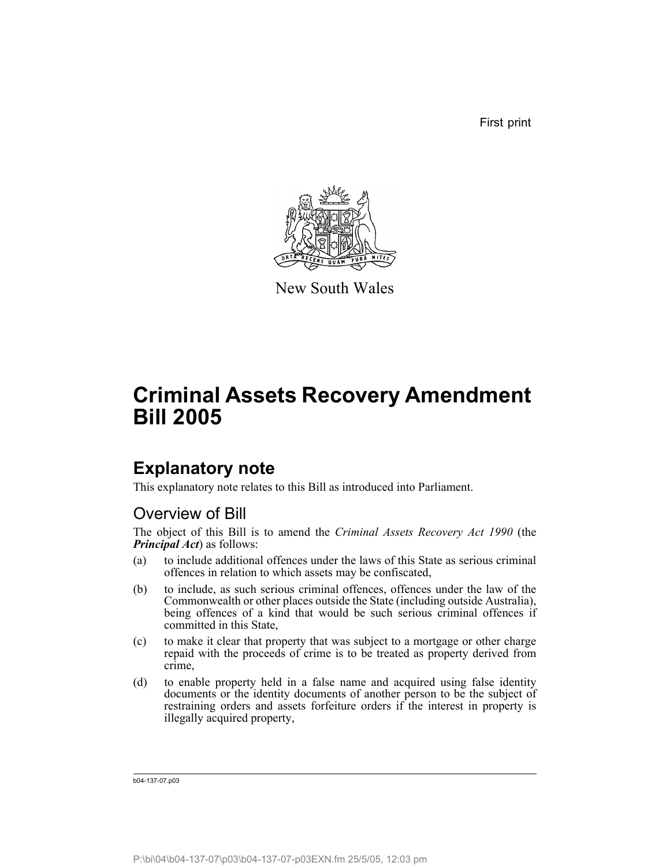First print



New South Wales

# **Criminal Assets Recovery Amendment Bill 2005**

# **Explanatory note**

This explanatory note relates to this Bill as introduced into Parliament.

# Overview of Bill

The object of this Bill is to amend the *Criminal Assets Recovery Act 1990* (the *Principal Act*) as follows:

- (a) to include additional offences under the laws of this State as serious criminal offences in relation to which assets may be confiscated,
- (b) to include, as such serious criminal offences, offences under the law of the Commonwealth or other places outside the State (including outside Australia), being offences of a kind that would be such serious criminal offences if committed in this State,
- (c) to make it clear that property that was subject to a mortgage or other charge repaid with the proceeds of crime is to be treated as property derived from crime,
- (d) to enable property held in a false name and acquired using false identity documents or the identity documents of another person to be the subject of restraining orders and assets forfeiture orders if the interest in property is illegally acquired property,

b04-137-07.p03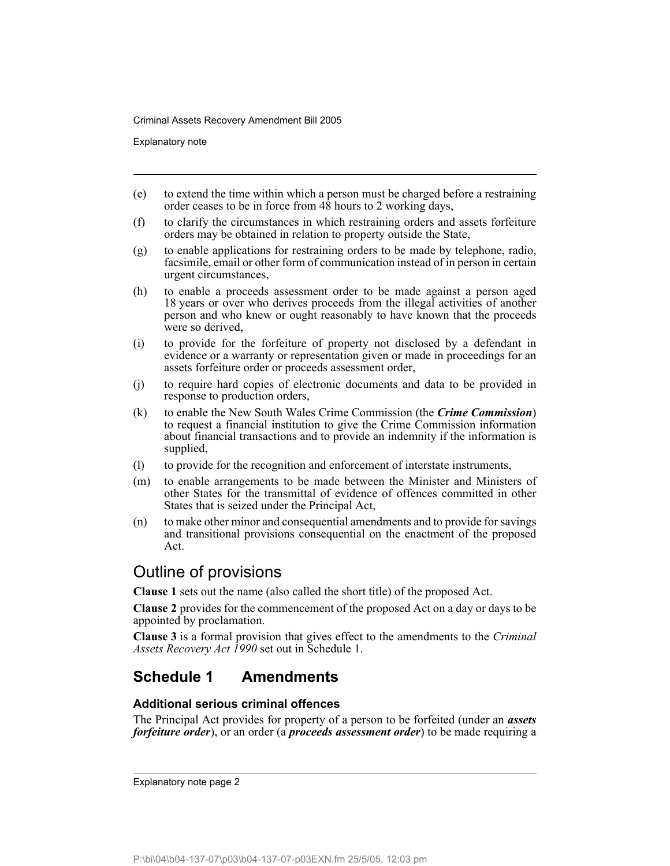Explanatory note

- (e) to extend the time within which a person must be charged before a restraining order ceases to be in force from 48 hours to 2 working days,
- (f) to clarify the circumstances in which restraining orders and assets forfeiture orders may be obtained in relation to property outside the State,
- (g) to enable applications for restraining orders to be made by telephone, radio, facsimile, email or other form of communication instead of in person in certain urgent circumstances,
- (h) to enable a proceeds assessment order to be made against a person aged 18 years or over who derives proceeds from the illegal activities of another person and who knew or ought reasonably to have known that the proceeds were so derived,
- (i) to provide for the forfeiture of property not disclosed by a defendant in evidence or a warranty or representation given or made in proceedings for an assets forfeiture order or proceeds assessment order,
- (j) to require hard copies of electronic documents and data to be provided in response to production orders,
- (k) to enable the New South Wales Crime Commission (the *Crime Commission*) to request a financial institution to give the Crime Commission information about financial transactions and to provide an indemnity if the information is supplied,
- (l) to provide for the recognition and enforcement of interstate instruments,
- (m) to enable arrangements to be made between the Minister and Ministers of other States for the transmittal of evidence of offences committed in other States that is seized under the Principal Act,
- (n) to make other minor and consequential amendments and to provide for savings and transitional provisions consequential on the enactment of the proposed Act.

# Outline of provisions

**Clause 1** sets out the name (also called the short title) of the proposed Act.

**Clause 2** provides for the commencement of the proposed Act on a day or days to be appointed by proclamation.

**Clause 3** is a formal provision that gives effect to the amendments to the *Criminal Assets Recovery Act 1990* set out in Schedule 1.

# **Schedule 1 Amendments**

### **Additional serious criminal offences**

The Principal Act provides for property of a person to be forfeited (under an *assets forfeiture order*), or an order (a *proceeds assessment order*) to be made requiring a

Explanatory note page 2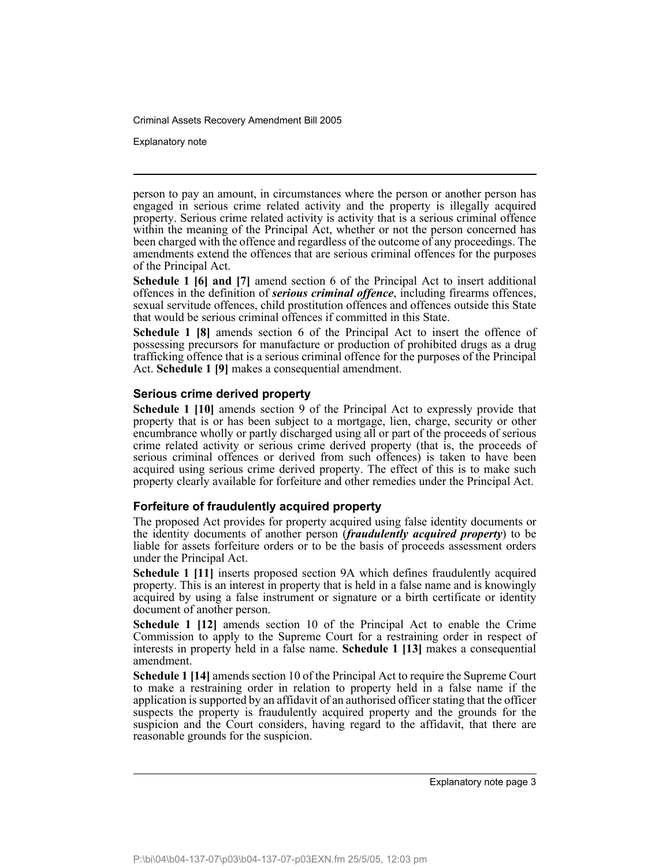Explanatory note

person to pay an amount, in circumstances where the person or another person has engaged in serious crime related activity and the property is illegally acquired property. Serious crime related activity is activity that is a serious criminal offence within the meaning of the Principal Act, whether or not the person concerned has been charged with the offence and regardless of the outcome of any proceedings. The amendments extend the offences that are serious criminal offences for the purposes of the Principal Act.

**Schedule 1 [6] and [7]** amend section 6 of the Principal Act to insert additional offences in the definition of *serious criminal offence*, including firearms offences, sexual servitude offences, child prostitution offences and offences outside this State that would be serious criminal offences if committed in this State.

**Schedule 1 [8]** amends section 6 of the Principal Act to insert the offence of possessing precursors for manufacture or production of prohibited drugs as a drug trafficking offence that is a serious criminal offence for the purposes of the Principal Act. **Schedule 1 [9]** makes a consequential amendment.

#### **Serious crime derived property**

**Schedule 1 [10]** amends section 9 of the Principal Act to expressly provide that property that is or has been subject to a mortgage, lien, charge, security or other encumbrance wholly or partly discharged using all or part of the proceeds of serious crime related activity or serious crime derived property (that is, the proceeds of serious criminal offences or derived from such offences) is taken to have been acquired using serious crime derived property. The effect of this is to make such property clearly available for forfeiture and other remedies under the Principal Act.

### **Forfeiture of fraudulently acquired property**

The proposed Act provides for property acquired using false identity documents or the identity documents of another person (*fraudulently acquired property*) to be liable for assets forfeiture orders or to be the basis of proceeds assessment orders under the Principal Act.

**Schedule 1 [11]** inserts proposed section 9A which defines fraudulently acquired property. This is an interest in property that is held in a false name and is knowingly acquired by using a false instrument or signature or a birth certificate or identity document of another person.

**Schedule 1 [12]** amends section 10 of the Principal Act to enable the Crime Commission to apply to the Supreme Court for a restraining order in respect of interests in property held in a false name. **Schedule 1 [13]** makes a consequential amendment.

**Schedule 1 [14]** amends section 10 of the Principal Act to require the Supreme Court to make a restraining order in relation to property held in a false name if the application is supported by an affidavit of an authorised officer stating that the officer suspects the property is fraudulently acquired property and the grounds for the suspicion and the Court considers, having regard to the affidavit, that there are reasonable grounds for the suspicion.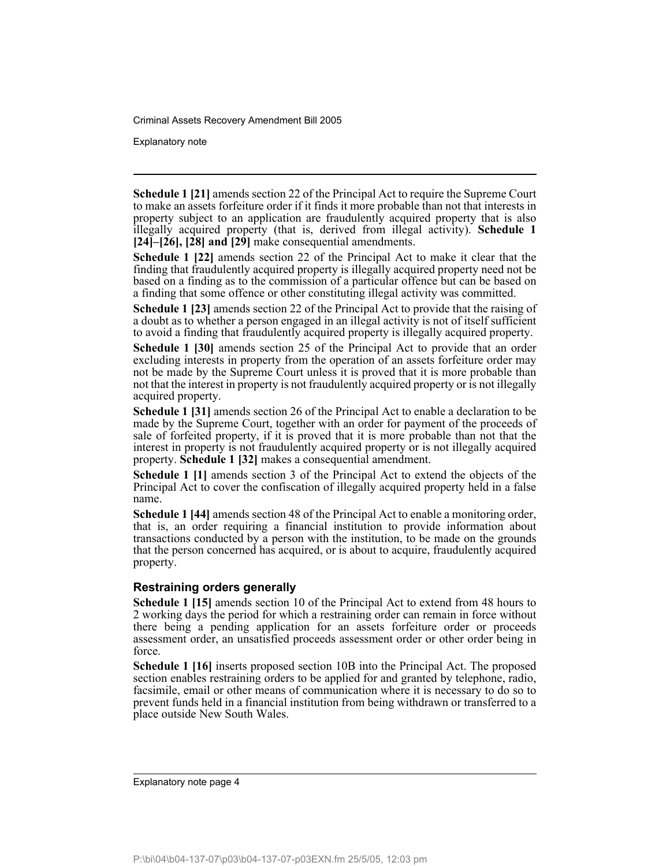Explanatory note

**Schedule 1 [21]** amends section 22 of the Principal Act to require the Supreme Court to make an assets forfeiture order if it finds it more probable than not that interests in property subject to an application are fraudulently acquired property that is also illegally acquired property (that is, derived from illegal activity). **Schedule 1 [24]–[26], [28] and [29]** make consequential amendments.

**Schedule 1 [22]** amends section 22 of the Principal Act to make it clear that the finding that fraudulently acquired property is illegally acquired property need not be based on a finding as to the commission of a particular offence but can be based on a finding that some offence or other constituting illegal activity was committed.

**Schedule 1 [23]** amends section 22 of the Principal Act to provide that the raising of a doubt as to whether a person engaged in an illegal activity is not of itself sufficient to avoid a finding that fraudulently acquired property is illegally acquired property.

**Schedule 1 [30]** amends section 25 of the Principal Act to provide that an order excluding interests in property from the operation of an assets forfeiture order may not be made by the Supreme Court unless it is proved that it is more probable than not that the interest in property is not fraudulently acquired property or is not illegally acquired property.

**Schedule 1 [31]** amends section 26 of the Principal Act to enable a declaration to be made by the Supreme Court, together with an order for payment of the proceeds of sale of forfeited property, if it is proved that it is more probable than not that the interest in property is not fraudulently acquired property or is not illegally acquired property. **Schedule 1 [32]** makes a consequential amendment.

**Schedule 1 [1]** amends section 3 of the Principal Act to extend the objects of the Principal Act to cover the confiscation of illegally acquired property held in a false name.

**Schedule 1 [44]** amends section 48 of the Principal Act to enable a monitoring order, that is, an order requiring a financial institution to provide information about transactions conducted by a person with the institution, to be made on the grounds that the person concerned has acquired, or is about to acquire, fraudulently acquired property.

#### **Restraining orders generally**

**Schedule 1 [15]** amends section 10 of the Principal Act to extend from 48 hours to 2 working days the period for which a restraining order can remain in force without there being a pending application for an assets forfeiture order or proceeds assessment order, an unsatisfied proceeds assessment order or other order being in force.

**Schedule 1 [16]** inserts proposed section 10B into the Principal Act. The proposed section enables restraining orders to be applied for and granted by telephone, radio, facsimile, email or other means of communication where it is necessary to do so to prevent funds held in a financial institution from being withdrawn or transferred to a place outside New South Wales.

Explanatory note page 4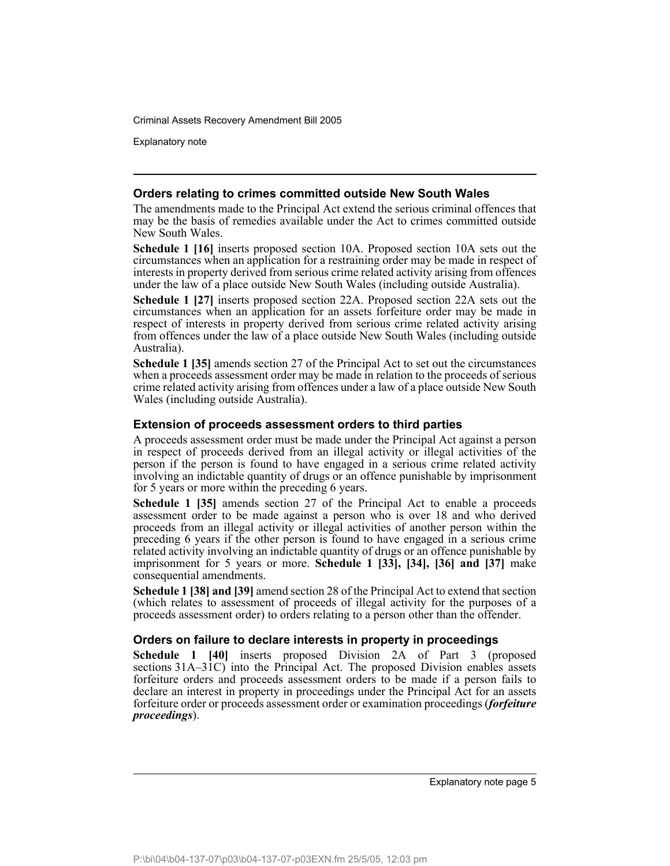Explanatory note

#### **Orders relating to crimes committed outside New South Wales**

The amendments made to the Principal Act extend the serious criminal offences that may be the basis of remedies available under the Act to crimes committed outside New South Wales.

**Schedule 1 [16]** inserts proposed section 10A. Proposed section 10A sets out the circumstances when an application for a restraining order may be made in respect of interests in property derived from serious crime related activity arising from offences under the law of a place outside New South Wales (including outside Australia).

**Schedule 1 [27]** inserts proposed section 22A. Proposed section 22A sets out the circumstances when an application for an assets forfeiture order may be made in respect of interests in property derived from serious crime related activity arising from offences under the law of a place outside New South Wales (including outside Australia).

**Schedule 1 [35]** amends section 27 of the Principal Act to set out the circumstances when a proceeds assessment order may be made in relation to the proceeds of serious crime related activity arising from offences under a law of a place outside New South Wales (including outside Australia).

#### **Extension of proceeds assessment orders to third parties**

A proceeds assessment order must be made under the Principal Act against a person in respect of proceeds derived from an illegal activity or illegal activities of the person if the person is found to have engaged in a serious crime related activity involving an indictable quantity of drugs or an offence punishable by imprisonment for 5 years or more within the preceding 6 years.

**Schedule 1 [35]** amends section 27 of the Principal Act to enable a proceeds assessment order to be made against a person who is over 18 and who derived proceeds from an illegal activity or illegal activities of another person within the preceding 6 years if the other person is found to have engaged in a serious crime related activity involving an indictable quantity of drugs or an offence punishable by imprisonment for 5 years or more. **Schedule 1 [33], [34], [36] and [37]** make consequential amendments.

**Schedule 1 [38] and [39]** amend section 28 of the Principal Act to extend that section (which relates to assessment of proceeds of illegal activity for the purposes of a proceeds assessment order) to orders relating to a person other than the offender.

#### **Orders on failure to declare interests in property in proceedings**

**Schedule 1 [40]** inserts proposed Division 2A of Part 3 (proposed sections 31A–31C) into the Principal Act. The proposed Division enables assets forfeiture orders and proceeds assessment orders to be made if a person fails to declare an interest in property in proceedings under the Principal Act for an assets forfeiture order or proceeds assessment order or examination proceedings (*forfeiture proceedings*).

Explanatory note page 5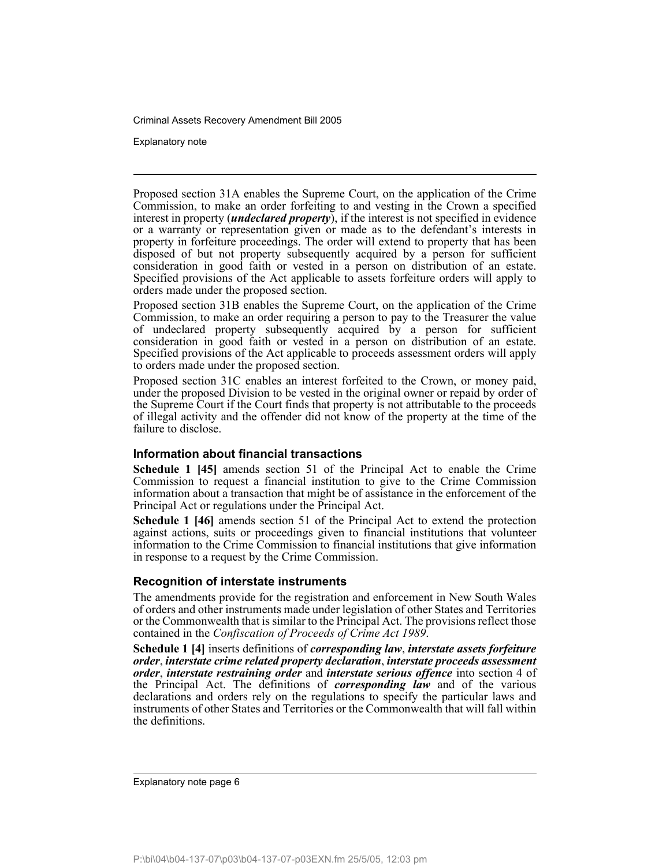Explanatory note

Proposed section 31A enables the Supreme Court, on the application of the Crime Commission, to make an order forfeiting to and vesting in the Crown a specified interest in property (*undeclared property*), if the interest is not specified in evidence or a warranty or representation given or made as to the defendant's interests in property in forfeiture proceedings. The order will extend to property that has been disposed of but not property subsequently acquired by a person for sufficient consideration in good faith or vested in a person on distribution of an estate. Specified provisions of the Act applicable to assets forfeiture orders will apply to orders made under the proposed section.

Proposed section 31B enables the Supreme Court, on the application of the Crime Commission, to make an order requiring a person to pay to the Treasurer the value of undeclared property subsequently acquired by a person for sufficient consideration in good faith or vested in a person on distribution of an estate. Specified provisions of the Act applicable to proceeds assessment orders will apply to orders made under the proposed section.

Proposed section 31C enables an interest forfeited to the Crown, or money paid, under the proposed Division to be vested in the original owner or repaid by order of the Supreme Court if the Court finds that property is not attributable to the proceeds of illegal activity and the offender did not know of the property at the time of the failure to disclose.

#### **Information about financial transactions**

**Schedule 1 [45]** amends section 51 of the Principal Act to enable the Crime Commission to request a financial institution to give to the Crime Commission information about a transaction that might be of assistance in the enforcement of the Principal Act or regulations under the Principal Act.

**Schedule 1 [46]** amends section 51 of the Principal Act to extend the protection against actions, suits or proceedings given to financial institutions that volunteer information to the Crime Commission to financial institutions that give information in response to a request by the Crime Commission.

#### **Recognition of interstate instruments**

The amendments provide for the registration and enforcement in New South Wales of orders and other instruments made under legislation of other States and Territories or the Commonwealth that is similar to the Principal Act. The provisions reflect those contained in the *Confiscation of Proceeds of Crime Act 1989*.

**Schedule 1 [4]** inserts definitions of *corresponding law*, *interstate assets forfeiture order*, *interstate crime related property declaration*, *interstate proceeds assessment order*, *interstate restraining order* and *interstate serious offence* into section 4 of the Principal Act. The definitions of *corresponding law* and of the various declarations and orders rely on the regulations to specify the particular laws and instruments of other States and Territories or the Commonwealth that will fall within the definitions.

Explanatory note page 6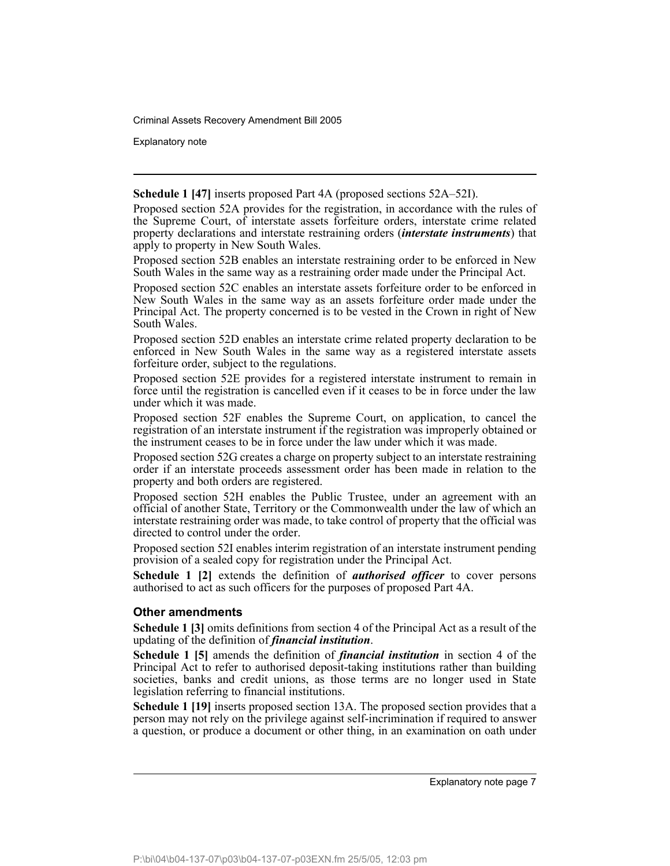Explanatory note

**Schedule 1 [47]** inserts proposed Part 4A (proposed sections 52A–52I).

Proposed section 52A provides for the registration, in accordance with the rules of the Supreme Court, of interstate assets forfeiture orders, interstate crime related property declarations and interstate restraining orders (*interstate instruments*) that apply to property in New South Wales.

Proposed section 52B enables an interstate restraining order to be enforced in New South Wales in the same way as a restraining order made under the Principal Act.

Proposed section 52C enables an interstate assets forfeiture order to be enforced in New South Wales in the same way as an assets forfeiture order made under the Principal Act. The property concerned is to be vested in the Crown in right of New South Wales.

Proposed section 52D enables an interstate crime related property declaration to be enforced in New South Wales in the same way as a registered interstate assets forfeiture order, subject to the regulations.

Proposed section 52E provides for a registered interstate instrument to remain in force until the registration is cancelled even if it ceases to be in force under the law under which it was made.

Proposed section 52F enables the Supreme Court, on application, to cancel the registration of an interstate instrument if the registration was improperly obtained or the instrument ceases to be in force under the law under which it was made.

Proposed section 52G creates a charge on property subject to an interstate restraining order if an interstate proceeds assessment order has been made in relation to the property and both orders are registered.

Proposed section 52H enables the Public Trustee, under an agreement with an official of another State, Territory or the Commonwealth under the law of which an interstate restraining order was made, to take control of property that the official was directed to control under the order.

Proposed section 52I enables interim registration of an interstate instrument pending provision of a sealed copy for registration under the Principal Act.

**Schedule 1 [2]** extends the definition of *authorised officer* to cover persons authorised to act as such officers for the purposes of proposed Part 4A.

#### **Other amendments**

**Schedule 1 [3]** omits definitions from section 4 of the Principal Act as a result of the updating of the definition of *financial institution*.

**Schedule 1 [5]** amends the definition of *financial institution* in section 4 of the Principal Act to refer to authorised deposit-taking institutions rather than building societies, banks and credit unions, as those terms are no longer used in State legislation referring to financial institutions.

**Schedule 1 [19]** inserts proposed section 13A. The proposed section provides that a person may not rely on the privilege against self-incrimination if required to answer a question, or produce a document or other thing, in an examination on oath under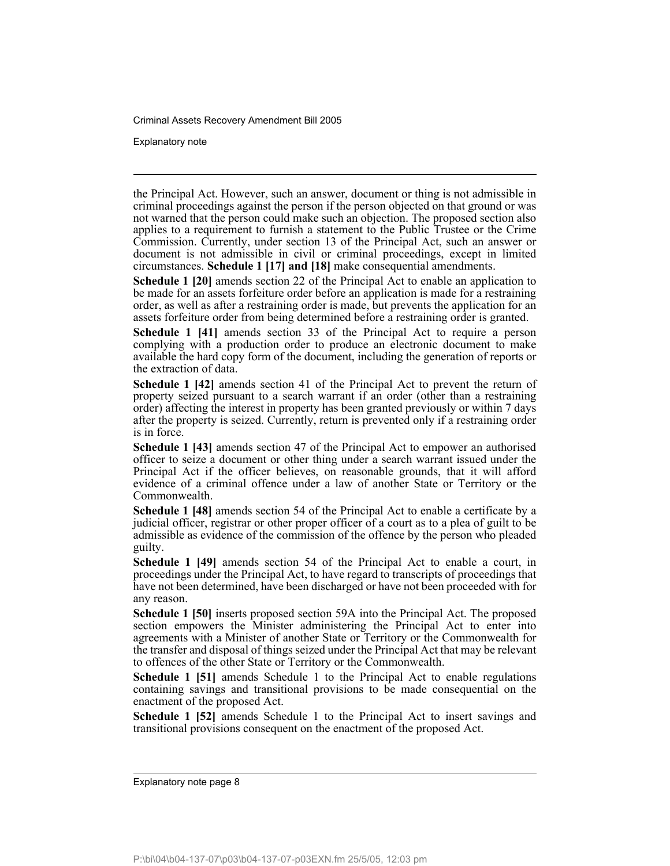Explanatory note

the Principal Act. However, such an answer, document or thing is not admissible in criminal proceedings against the person if the person objected on that ground or was not warned that the person could make such an objection. The proposed section also applies to a requirement to furnish a statement to the Public Trustee or the Crime Commission. Currently, under section 13 of the Principal Act, such an answer or document is not admissible in civil or criminal proceedings, except in limited circumstances. **Schedule 1 [17] and [18]** make consequential amendments.

**Schedule 1 [20]** amends section 22 of the Principal Act to enable an application to be made for an assets forfeiture order before an application is made for a restraining order, as well as after a restraining order is made, but prevents the application for an assets forfeiture order from being determined before a restraining order is granted.

**Schedule 1 [41]** amends section 33 of the Principal Act to require a person complying with a production order to produce an electronic document to make available the hard copy form of the document, including the generation of reports or the extraction of data.

**Schedule 1 [42]** amends section 41 of the Principal Act to prevent the return of property seized pursuant to a search warrant if an order (other than a restraining order) affecting the interest in property has been granted previously or within 7 days after the property is seized. Currently, return is prevented only if a restraining order is in force.

**Schedule 1 [43]** amends section 47 of the Principal Act to empower an authorised officer to seize a document or other thing under a search warrant issued under the Principal Act if the officer believes, on reasonable grounds, that it will afford evidence of a criminal offence under a law of another State or Territory or the Commonwealth.

**Schedule 1 [48]** amends section 54 of the Principal Act to enable a certificate by a judicial officer, registrar or other proper officer of a court as to a plea of guilt to be admissible as evidence of the commission of the offence by the person who pleaded guilty.

**Schedule 1 [49]** amends section 54 of the Principal Act to enable a court, in proceedings under the Principal Act, to have regard to transcripts of proceedings that have not been determined, have been discharged or have not been proceeded with for any reason.

**Schedule 1 [50]** inserts proposed section 59A into the Principal Act. The proposed section empowers the Minister administering the Principal Act to enter into agreements with a Minister of another State or Territory or the Commonwealth for the transfer and disposal of things seized under the Principal Act that may be relevant to offences of the other State or Territory or the Commonwealth.

**Schedule 1 [51]** amends Schedule 1 to the Principal Act to enable regulations containing savings and transitional provisions to be made consequential on the enactment of the proposed Act.

**Schedule 1 [52]** amends Schedule 1 to the Principal Act to insert savings and transitional provisions consequent on the enactment of the proposed Act.

Explanatory note page 8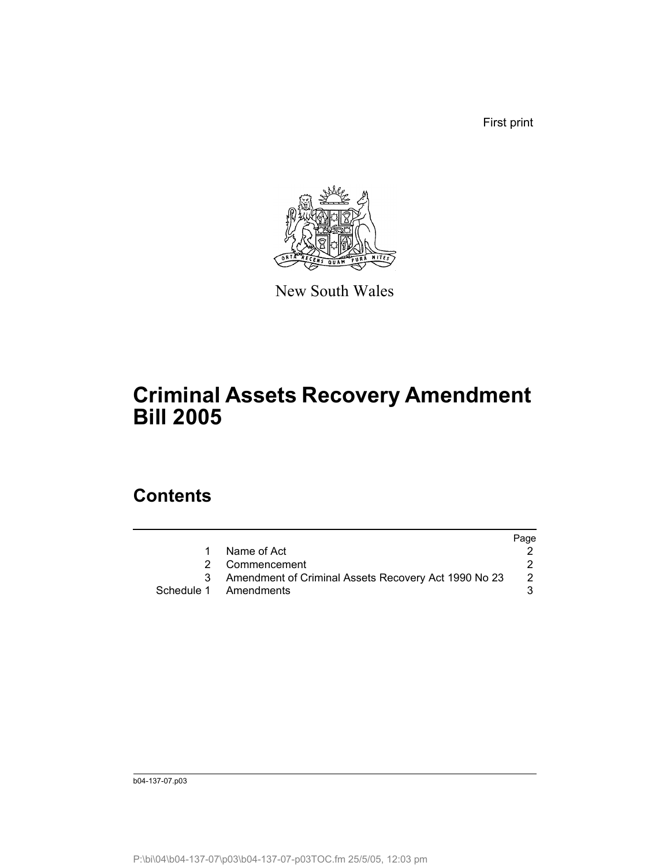First print



New South Wales

# **Criminal Assets Recovery Amendment Bill 2005**

# **Contents**

|                                                      | Page                                    |
|------------------------------------------------------|-----------------------------------------|
| Name of Act                                          |                                         |
|                                                      |                                         |
| Amendment of Criminal Assets Recovery Act 1990 No 23 |                                         |
|                                                      |                                         |
|                                                      | 2 Commencement<br>Schedule 1 Amendments |

b04-137-07.p03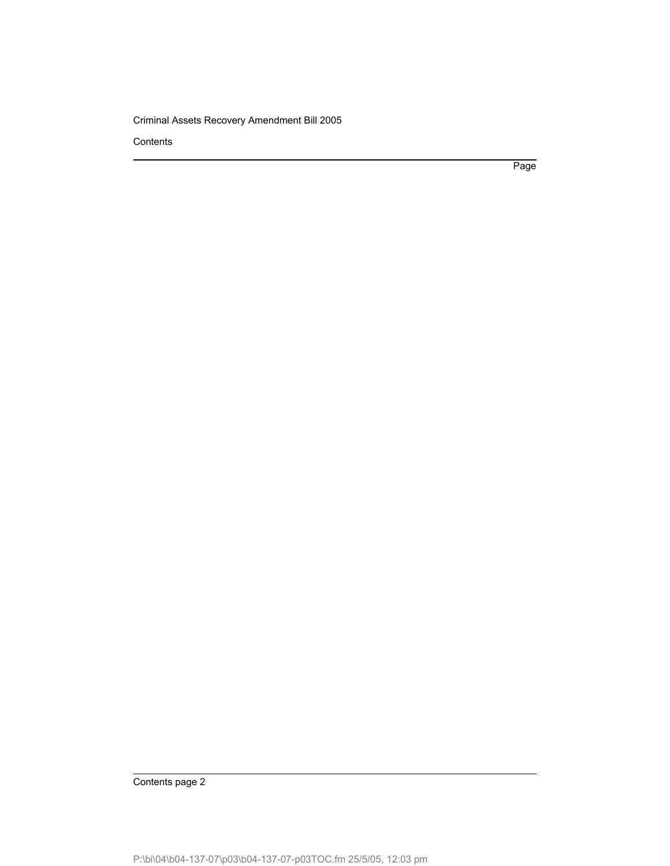**Contents** 

Page

Contents page 2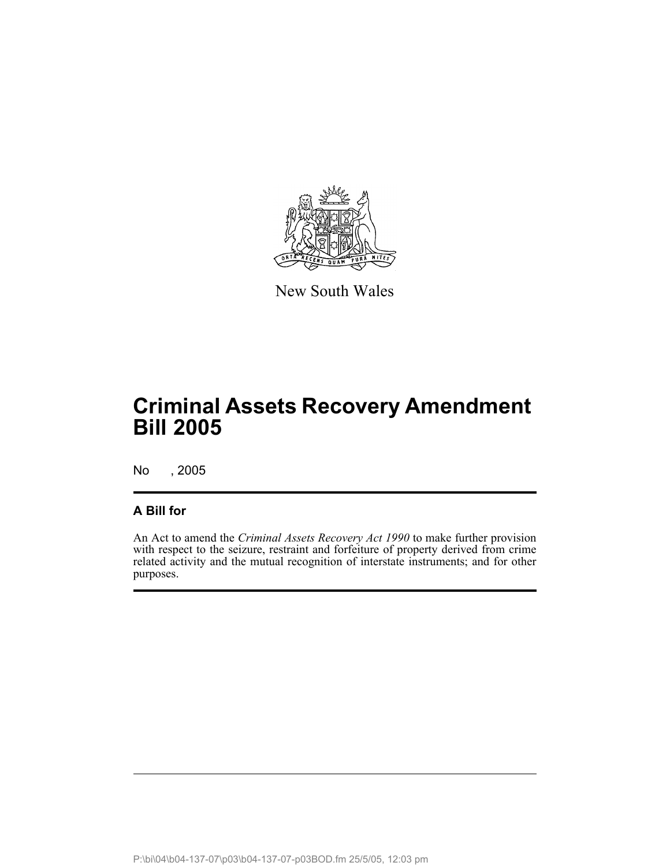

New South Wales

No , 2005

## **A Bill for**

An Act to amend the *Criminal Assets Recovery Act 1990* to make further provision with respect to the seizure, restraint and forfeiture of property derived from crime related activity and the mutual recognition of interstate instruments; and for other purposes.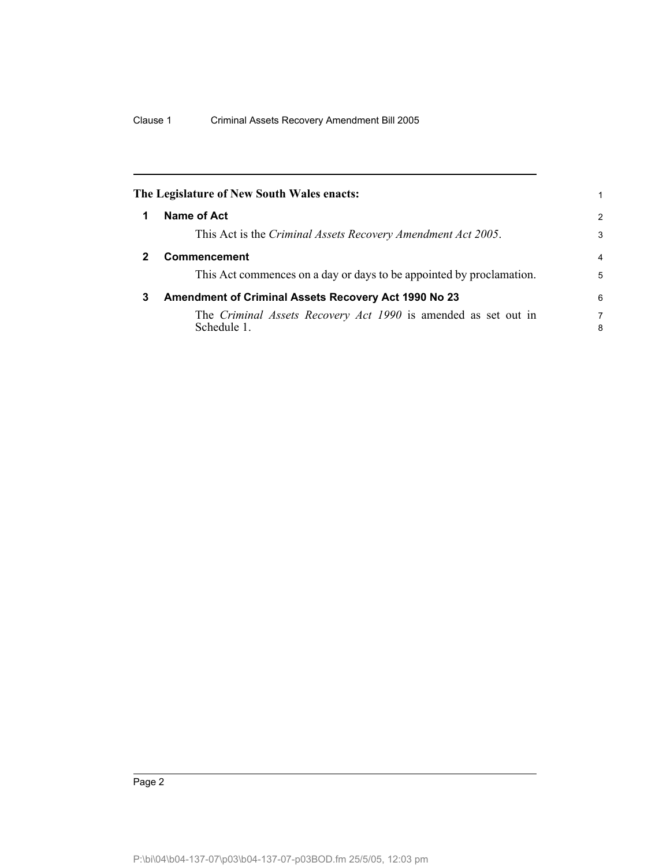|   | The Legislature of New South Wales enacts:                                    | 1              |
|---|-------------------------------------------------------------------------------|----------------|
| 1 | Name of Act                                                                   | 2              |
|   | This Act is the Criminal Assets Recovery Amendment Act 2005.                  | 3              |
| 2 | <b>Commencement</b>                                                           | $\overline{4}$ |
|   | This Act commences on a day or days to be appointed by proclamation.          | 5              |
| 3 | Amendment of Criminal Assets Recovery Act 1990 No 23                          | 6              |
|   | The Criminal Assets Recovery Act 1990 is amended as set out in<br>Schedule 1. | 7<br>8         |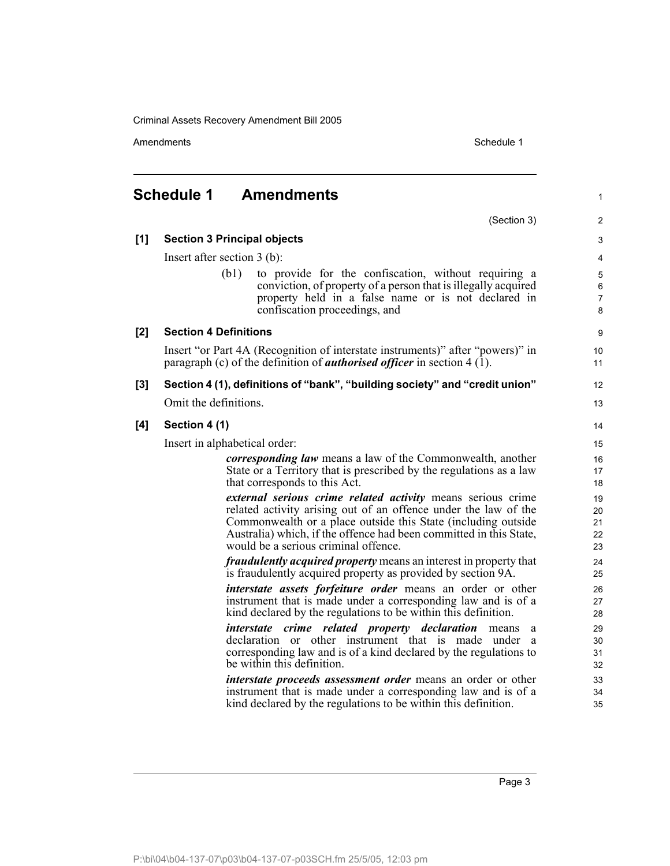Amendments **Amendments** Schedule 1

1

# **Schedule 1 Amendments**

(Section 3) **[1] Section 3 Principal objects** Insert after section 3 (b): (b1) to provide for the confiscation, without requiring a conviction, of property of a person that is illegally acquired property held in a false name or is not declared in confiscation proceedings, and **[2] Section 4 Definitions** Insert "or Part 4A (Recognition of interstate instruments)" after "powers)" in paragraph (c) of the definition of *authorised officer* in section 4 (1). **[3] Section 4 (1), definitions of "bank", "building society" and "credit union"** Omit the definitions. **[4] Section 4 (1)** Insert in alphabetical order: *corresponding law* means a law of the Commonwealth, another State or a Territory that is prescribed by the regulations as a law that corresponds to this Act. *external serious crime related activity* means serious crime related activity arising out of an offence under the law of the Commonwealth or a place outside this State (including outside Australia) which, if the offence had been committed in this State, would be a serious criminal offence.

*fraudulently acquired property* means an interest in property that is fraudulently acquired property as provided by section 9A.

*interstate assets forfeiture order* means an order or other instrument that is made under a corresponding law and is of a kind declared by the regulations to be within this definition.

*interstate crime related property declaration* means a declaration or other instrument that is made under a corresponding law and is of a kind declared by the regulations to be within this definition.

*interstate proceeds assessment order* means an order or other instrument that is made under a corresponding law and is of a kind declared by the regulations to be within this definition.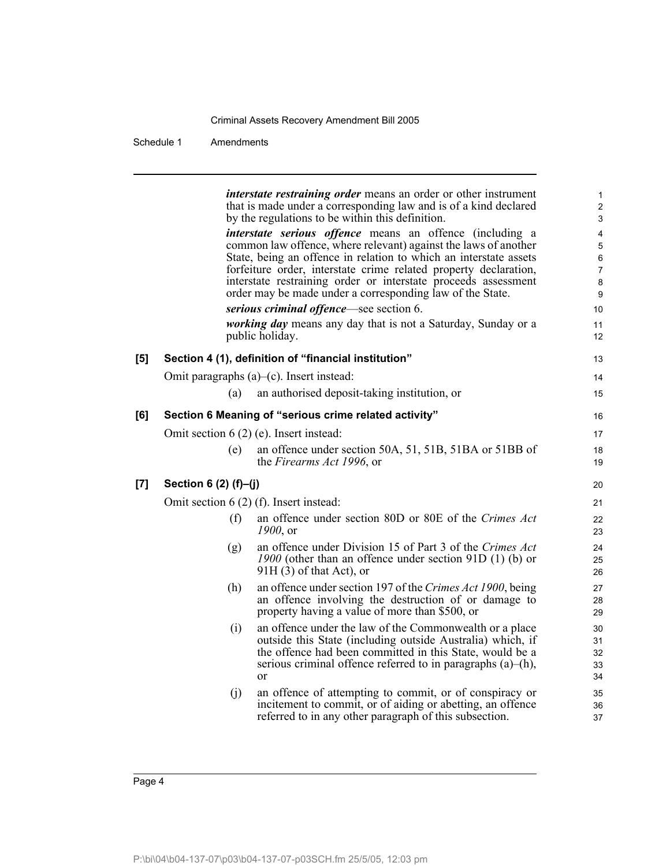|     |                       | <i>interstate restraining order</i> means an order or other instrument<br>that is made under a corresponding law and is of a kind declared<br>by the regulations to be within this definition.                                                                                                                                                                                                             | 1<br>$\overline{c}$<br>3                |
|-----|-----------------------|------------------------------------------------------------------------------------------------------------------------------------------------------------------------------------------------------------------------------------------------------------------------------------------------------------------------------------------------------------------------------------------------------------|-----------------------------------------|
|     |                       | <i>interstate serious offence</i> means an offence (including a<br>common law offence, where relevant) against the laws of another<br>State, being an offence in relation to which an interstate assets<br>forfeiture order, interstate crime related property declaration,<br>interstate restraining order or interstate proceeds assessment<br>order may be made under a corresponding law of the State. | 4<br>5<br>6<br>$\overline{7}$<br>8<br>9 |
|     |                       | serious criminal offence—see section 6.<br><i>working day</i> means any day that is not a Saturday, Sunday or a<br>public holiday.                                                                                                                                                                                                                                                                         | 10<br>11<br>12                          |
| [5] |                       | Section 4 (1), definition of "financial institution"                                                                                                                                                                                                                                                                                                                                                       | 13                                      |
|     |                       | Omit paragraphs $(a)$ – $(c)$ . Insert instead:                                                                                                                                                                                                                                                                                                                                                            | 14                                      |
|     | (a)                   | an authorised deposit-taking institution, or                                                                                                                                                                                                                                                                                                                                                               | 15                                      |
| [6] |                       | Section 6 Meaning of "serious crime related activity"                                                                                                                                                                                                                                                                                                                                                      | 16                                      |
|     |                       | Omit section $6(2)$ (e). Insert instead:                                                                                                                                                                                                                                                                                                                                                                   | 17                                      |
|     | (e)                   | an offence under section 50A, 51, 51B, 51BA or 51BB of<br>the Firearms Act 1996, or                                                                                                                                                                                                                                                                                                                        | 18<br>19                                |
| [7] | Section 6 (2) (f)-(j) |                                                                                                                                                                                                                                                                                                                                                                                                            | 20                                      |
|     |                       | Omit section $6(2)$ (f). Insert instead:                                                                                                                                                                                                                                                                                                                                                                   | 21                                      |
|     | (f)                   | an offence under section 80D or 80E of the Crimes Act<br>1900, or                                                                                                                                                                                                                                                                                                                                          | 22<br>23                                |
|     | (g)                   | an offence under Division 15 of Part 3 of the Crimes Act<br>1900 (other than an offence under section 91D $(1)$ (b) or<br>$91H(3)$ of that Act), or                                                                                                                                                                                                                                                        | 24<br>25<br>26                          |
|     | (h)                   | an offence under section 197 of the Crimes Act 1900, being<br>an offence involving the destruction of or damage to<br>property having a value of more than \$500, or                                                                                                                                                                                                                                       | 27<br>28<br>29                          |
|     | (i)                   | an offence under the law of the Commonwealth or a place<br>outside this State (including outside Australia) which, if<br>the offence had been committed in this State, would be a<br>serious criminal offence referred to in paragraphs $(a)$ – $(h)$ ,<br><sub>or</sub>                                                                                                                                   | 30<br>31<br>32<br>33<br>34              |
|     | (i)                   | an offence of attempting to commit, or of conspiracy or<br>incitement to commit, or of aiding or abetting, an offence<br>referred to in any other paragraph of this subsection.                                                                                                                                                                                                                            | 35<br>36<br>37                          |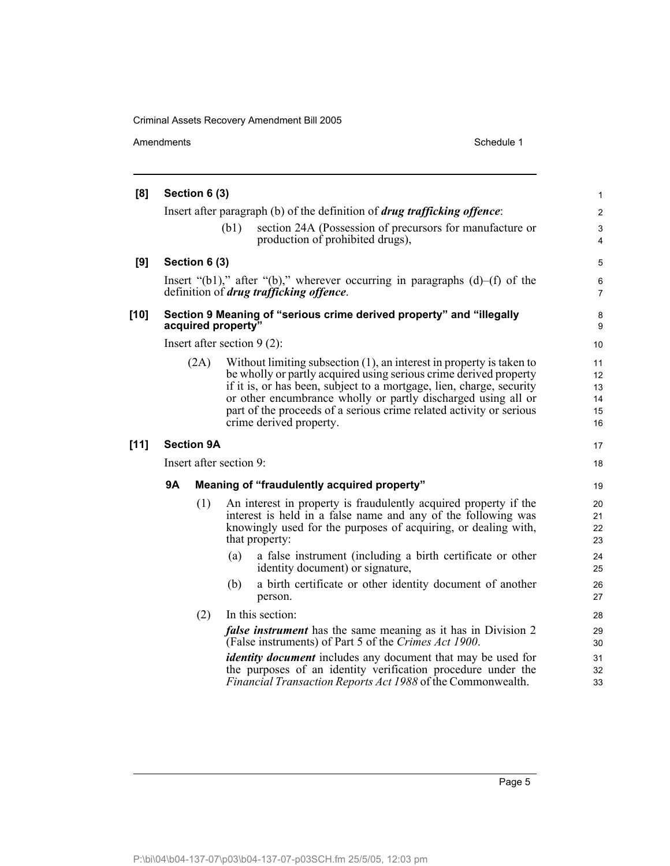|        | Amendments                                                                                 |                   | Schedule 1                                                                                                                                                                                                                                                                                                                                                                                                    |                                              |  |  |  |  |
|--------|--------------------------------------------------------------------------------------------|-------------------|---------------------------------------------------------------------------------------------------------------------------------------------------------------------------------------------------------------------------------------------------------------------------------------------------------------------------------------------------------------------------------------------------------------|----------------------------------------------|--|--|--|--|
| [8]    |                                                                                            | Section 6 (3)     |                                                                                                                                                                                                                                                                                                                                                                                                               | $\mathbf{1}$                                 |  |  |  |  |
|        |                                                                                            |                   | Insert after paragraph (b) of the definition of <i>drug trafficking offence</i> :                                                                                                                                                                                                                                                                                                                             | $\overline{2}$                               |  |  |  |  |
|        |                                                                                            |                   | (b1)<br>section 24A (Possession of precursors for manufacture or<br>production of prohibited drugs),                                                                                                                                                                                                                                                                                                          | 3<br>$\overline{4}$                          |  |  |  |  |
| [9]    |                                                                                            | Section 6 (3)     |                                                                                                                                                                                                                                                                                                                                                                                                               | 5                                            |  |  |  |  |
|        |                                                                                            |                   | Insert "(b1)," after "(b)," wherever occurring in paragraphs $(d)$ -(f) of the<br>definition of <i>drug trafficking offence</i> .                                                                                                                                                                                                                                                                             | 6<br>$\overline{7}$                          |  |  |  |  |
| [10]   | Section 9 Meaning of "serious crime derived property" and "illegally<br>acquired property" |                   |                                                                                                                                                                                                                                                                                                                                                                                                               |                                              |  |  |  |  |
|        |                                                                                            |                   | Insert after section $9(2)$ :                                                                                                                                                                                                                                                                                                                                                                                 | 10                                           |  |  |  |  |
|        |                                                                                            | (2A)              | Without limiting subsection $(1)$ , an interest in property is taken to<br>be wholly or partly acquired using serious crime derived property<br>if it is, or has been, subject to a mortgage, lien, charge, security<br>or other encumbrance wholly or partly discharged using all or<br>part of the proceeds of a serious crime related activity or serious<br>crime derived property.                       | 11<br>12<br>13<br>14<br>15<br>16             |  |  |  |  |
| $[11]$ |                                                                                            | <b>Section 9A</b> |                                                                                                                                                                                                                                                                                                                                                                                                               | 17                                           |  |  |  |  |
|        |                                                                                            |                   | Insert after section 9:                                                                                                                                                                                                                                                                                                                                                                                       | 18                                           |  |  |  |  |
|        | 9Α<br>Meaning of "fraudulently acquired property"                                          |                   |                                                                                                                                                                                                                                                                                                                                                                                                               |                                              |  |  |  |  |
|        |                                                                                            | (1)               | An interest in property is fraudulently acquired property if the<br>interest is held in a false name and any of the following was<br>knowingly used for the purposes of acquiring, or dealing with,<br>that property:<br>a false instrument (including a birth certificate or other<br>(a)<br>identity document) or signature,<br>a birth certificate or other identity document of another<br>(b)<br>person. | 20<br>21<br>22<br>23<br>24<br>25<br>26<br>27 |  |  |  |  |
|        |                                                                                            | (2)               | In this section:                                                                                                                                                                                                                                                                                                                                                                                              | 28                                           |  |  |  |  |
|        |                                                                                            |                   | <i>false instrument</i> has the same meaning as it has in Division 2<br>(False instruments) of Part 5 of the Crimes Act 1900.                                                                                                                                                                                                                                                                                 | 29<br>30                                     |  |  |  |  |
|        |                                                                                            |                   | identity document includes any document that may be used for<br>the purposes of an identity verification procedure under the<br>Financial Transaction Reports Act 1988 of the Commonwealth.                                                                                                                                                                                                                   | 31<br>32<br>33                               |  |  |  |  |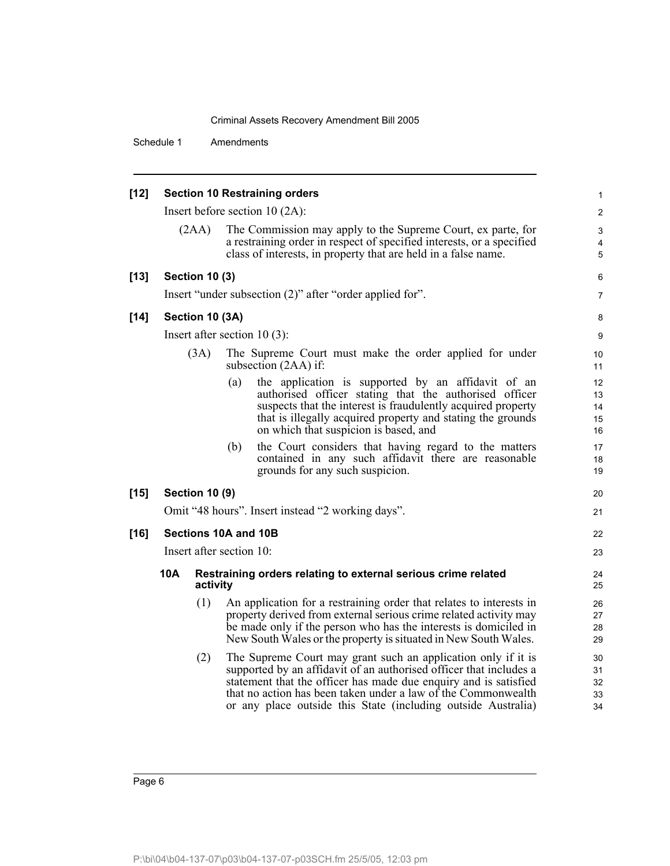| $[12]$ |                                  |                       |     | <b>Section 10 Restraining orders</b>                                                                                                     |                               |  |  |  |
|--------|----------------------------------|-----------------------|-----|------------------------------------------------------------------------------------------------------------------------------------------|-------------------------------|--|--|--|
|        |                                  |                       |     |                                                                                                                                          | $\mathbf 1$<br>$\overline{2}$ |  |  |  |
|        | Insert before section $10(2A)$ : |                       |     |                                                                                                                                          |                               |  |  |  |
|        |                                  | (2AA)                 |     | The Commission may apply to the Supreme Court, ex parte, for<br>a restraining order in respect of specified interests, or a specified    | 3<br>4                        |  |  |  |
|        |                                  |                       |     | class of interests, in property that are held in a false name.                                                                           | 5                             |  |  |  |
| $[13]$ |                                  | <b>Section 10 (3)</b> |     |                                                                                                                                          | 6                             |  |  |  |
|        |                                  |                       |     | Insert "under subsection (2)" after "order applied for".                                                                                 | $\overline{7}$                |  |  |  |
| $[14]$ |                                  | Section 10 (3A)       |     |                                                                                                                                          | 8                             |  |  |  |
|        |                                  |                       |     | Insert after section $10(3)$ :                                                                                                           | 9                             |  |  |  |
|        |                                  | (3A)                  |     | The Supreme Court must make the order applied for under<br>subsection $(2AA)$ if:                                                        | 10<br>11                      |  |  |  |
|        |                                  |                       | (a) | the application is supported by an affidavit of an                                                                                       | 12                            |  |  |  |
|        |                                  |                       |     | authorised officer stating that the authorised officer<br>suspects that the interest is fraudulently acquired property                   | 13                            |  |  |  |
|        |                                  |                       |     | that is illegally acquired property and stating the grounds                                                                              | 14<br>15                      |  |  |  |
|        |                                  |                       |     | on which that suspicion is based, and                                                                                                    | 16                            |  |  |  |
|        |                                  |                       | (b) | the Court considers that having regard to the matters                                                                                    | 17                            |  |  |  |
|        |                                  |                       |     | contained in any such affidavit there are reasonable<br>grounds for any such suspicion.                                                  | 18<br>19                      |  |  |  |
| $[15]$ |                                  | <b>Section 10 (9)</b> |     |                                                                                                                                          | 20                            |  |  |  |
|        |                                  |                       |     | Omit "48 hours". Insert instead "2 working days".                                                                                        | 21                            |  |  |  |
| $[16]$ | Sections 10A and 10B             |                       |     |                                                                                                                                          |                               |  |  |  |
|        | Insert after section 10:         |                       |     |                                                                                                                                          |                               |  |  |  |
|        | 10A                              | activity              |     | Restraining orders relating to external serious crime related                                                                            | 24<br>25                      |  |  |  |
|        |                                  | (1)                   |     | An application for a restraining order that relates to interests in<br>property derived from external serious crime related activity may | 26<br>27                      |  |  |  |
|        |                                  |                       |     | be made only if the person who has the interests is domiciled in<br>New South Wales or the property is situated in New South Wales.      | 28<br>29                      |  |  |  |
|        |                                  | (2)                   |     | The Supreme Court may grant such an application only if it is                                                                            | 30                            |  |  |  |
|        |                                  |                       |     | supported by an affidavit of an authorised officer that includes a<br>statement that the officer has made due enquiry and is satisfied   | 31<br>32                      |  |  |  |
|        |                                  |                       |     | that no action has been taken under a law of the Commonwealth                                                                            | 33                            |  |  |  |
|        |                                  |                       |     | or any place outside this State (including outside Australia)                                                                            | 34                            |  |  |  |
|        |                                  |                       |     |                                                                                                                                          |                               |  |  |  |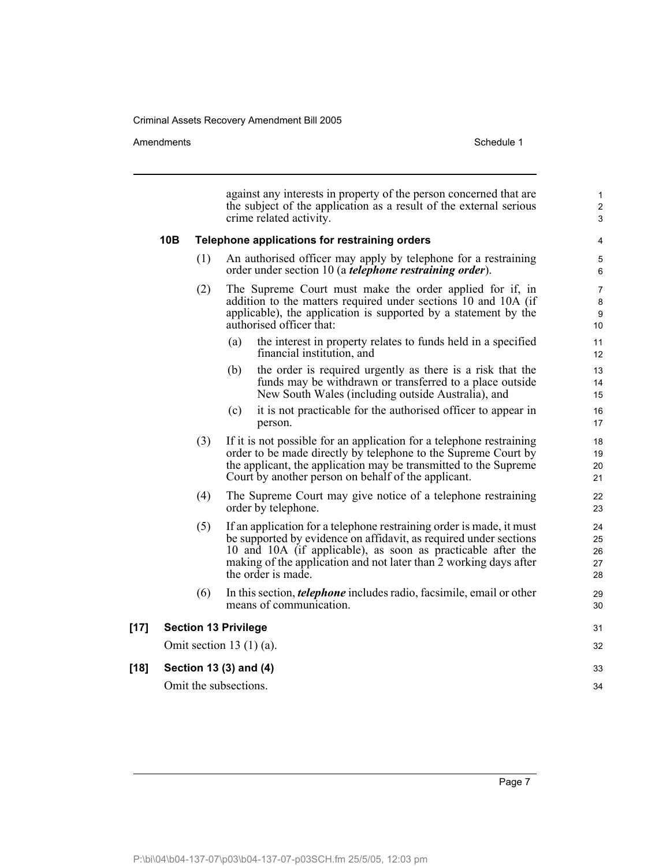#### Amendments Schedule 1

|        | against any interests in property of the person concerned that are<br>the subject of the application as a result of the external serious<br>crime related activity. |                                                                                                                                                                                                                                                                                                      |                                |  |  |  |  |
|--------|---------------------------------------------------------------------------------------------------------------------------------------------------------------------|------------------------------------------------------------------------------------------------------------------------------------------------------------------------------------------------------------------------------------------------------------------------------------------------------|--------------------------------|--|--|--|--|
|        | 10B                                                                                                                                                                 | Telephone applications for restraining orders                                                                                                                                                                                                                                                        | 4                              |  |  |  |  |
|        | (1)                                                                                                                                                                 | An authorised officer may apply by telephone for a restraining<br>order under section 10 (a <i>telephone restraining order</i> ).                                                                                                                                                                    | 5<br>6                         |  |  |  |  |
|        | (2)                                                                                                                                                                 | The Supreme Court must make the order applied for if, in<br>addition to the matters required under sections 10 and 10A (if<br>applicable), the application is supported by a statement by the<br>authorised officer that:                                                                            | $\overline{7}$<br>8<br>9<br>10 |  |  |  |  |
|        |                                                                                                                                                                     | the interest in property relates to funds held in a specified<br>(a)<br>financial institution, and                                                                                                                                                                                                   | 11<br>12                       |  |  |  |  |
|        |                                                                                                                                                                     | (b)<br>the order is required urgently as there is a risk that the<br>funds may be withdrawn or transferred to a place outside<br>New South Wales (including outside Australia), and                                                                                                                  | 13<br>14<br>15                 |  |  |  |  |
|        |                                                                                                                                                                     | it is not practicable for the authorised officer to appear in<br>(c)<br>person.                                                                                                                                                                                                                      | 16<br>17                       |  |  |  |  |
|        | (3)                                                                                                                                                                 | If it is not possible for an application for a telephone restraining<br>order to be made directly by telephone to the Supreme Court by<br>the applicant, the application may be transmitted to the Supreme<br>Court by another person on behalf of the applicant.                                    | 18<br>19<br>20<br>21           |  |  |  |  |
|        | (4)                                                                                                                                                                 | The Supreme Court may give notice of a telephone restraining<br>order by telephone.                                                                                                                                                                                                                  |                                |  |  |  |  |
|        | (5)                                                                                                                                                                 | If an application for a telephone restraining order is made, it must<br>be supported by evidence on affidavit, as required under sections<br>10 and 10A (if applicable), as soon as practicable after the<br>making of the application and not later than 2 working days after<br>the order is made. | 24<br>25<br>26<br>27<br>28     |  |  |  |  |
|        | (6)                                                                                                                                                                 | In this section, <i>telephone</i> includes radio, facsimile, email or other<br>means of communication.                                                                                                                                                                                               | 29<br>30                       |  |  |  |  |
| $[17]$ |                                                                                                                                                                     | <b>Section 13 Privilege</b>                                                                                                                                                                                                                                                                          | 31                             |  |  |  |  |
|        |                                                                                                                                                                     | Omit section 13 $(1)$ (a).                                                                                                                                                                                                                                                                           | 32                             |  |  |  |  |
| $[18]$ |                                                                                                                                                                     | Section 13 (3) and (4)                                                                                                                                                                                                                                                                               | 33                             |  |  |  |  |
|        |                                                                                                                                                                     | Omit the subsections.                                                                                                                                                                                                                                                                                | 34                             |  |  |  |  |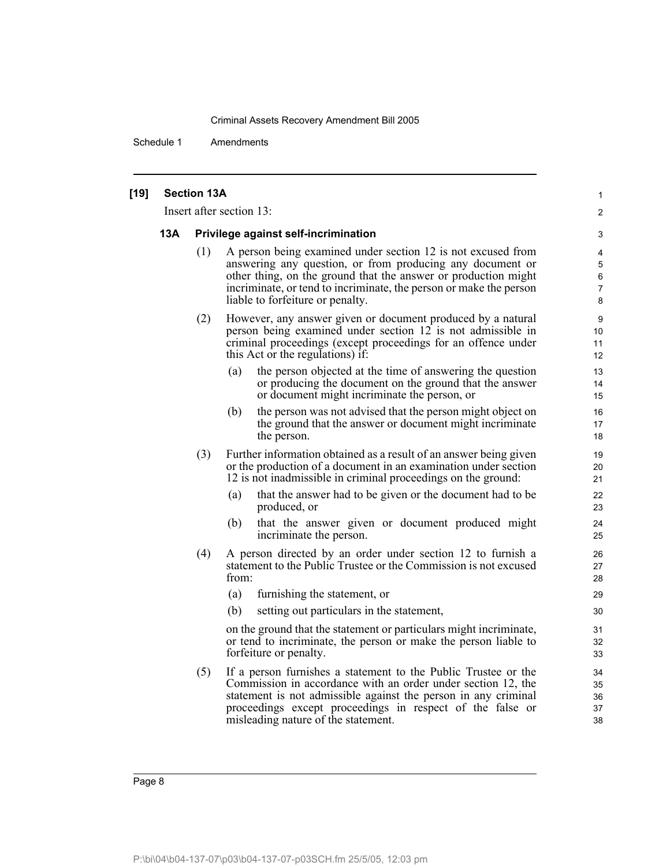| $[19]$ | <b>Section 13A</b> |                                      |                                                                                                                                                                                                                                                                                                       |                            |  |  |  |
|--------|--------------------|--------------------------------------|-------------------------------------------------------------------------------------------------------------------------------------------------------------------------------------------------------------------------------------------------------------------------------------------------------|----------------------------|--|--|--|
|        |                    |                                      | Insert after section 13:                                                                                                                                                                                                                                                                              | 2                          |  |  |  |
|        | <b>13A</b>         | Privilege against self-incrimination |                                                                                                                                                                                                                                                                                                       |                            |  |  |  |
|        |                    | (1)                                  | A person being examined under section 12 is not excused from<br>answering any question, or from producing any document or<br>other thing, on the ground that the answer or production might<br>incriminate, or tend to incriminate, the person or make the person<br>liable to forfeiture or penalty. |                            |  |  |  |
|        |                    | (2)                                  | However, any answer given or document produced by a natural<br>person being examined under section 12 is not admissible in<br>criminal proceedings (except proceedings for an offence under<br>this Act or the regulations) if:                                                                       | 9<br>10<br>11<br>12        |  |  |  |
|        |                    |                                      | the person objected at the time of answering the question<br>(a)<br>or producing the document on the ground that the answer<br>or document might incriminate the person, or                                                                                                                           | 13<br>14<br>15             |  |  |  |
|        |                    |                                      | the person was not advised that the person might object on<br>(b)<br>the ground that the answer or document might incriminate<br>the person.                                                                                                                                                          | 16<br>17<br>18             |  |  |  |
|        |                    | (3)                                  | Further information obtained as a result of an answer being given<br>or the production of a document in an examination under section<br>12 is not inadmissible in criminal proceedings on the ground:                                                                                                 | 19<br>20<br>21             |  |  |  |
|        |                    |                                      | that the answer had to be given or the document had to be<br>(a)<br>produced, or                                                                                                                                                                                                                      | 22<br>23                   |  |  |  |
|        |                    |                                      | that the answer given or document produced might<br>(b)<br>incriminate the person.                                                                                                                                                                                                                    | 24<br>25                   |  |  |  |
|        |                    | (4)                                  | A person directed by an order under section 12 to furnish a<br>statement to the Public Trustee or the Commission is not excused<br>from:                                                                                                                                                              | 26<br>27<br>28             |  |  |  |
|        |                    |                                      | furnishing the statement, or<br>(a)                                                                                                                                                                                                                                                                   | 29                         |  |  |  |
|        |                    |                                      | (b)<br>setting out particulars in the statement,                                                                                                                                                                                                                                                      | 30                         |  |  |  |
|        |                    |                                      | on the ground that the statement or particulars might incriminate,<br>or tend to incriminate, the person or make the person liable to<br>forfeiture or penalty.                                                                                                                                       | 31<br>32<br>33             |  |  |  |
|        |                    | (5)                                  | If a person furnishes a statement to the Public Trustee or the<br>Commission in accordance with an order under section 12, the<br>statement is not admissible against the person in any criminal<br>proceedings except proceedings in respect of the false or<br>misleading nature of the statement.  | 34<br>35<br>36<br>37<br>38 |  |  |  |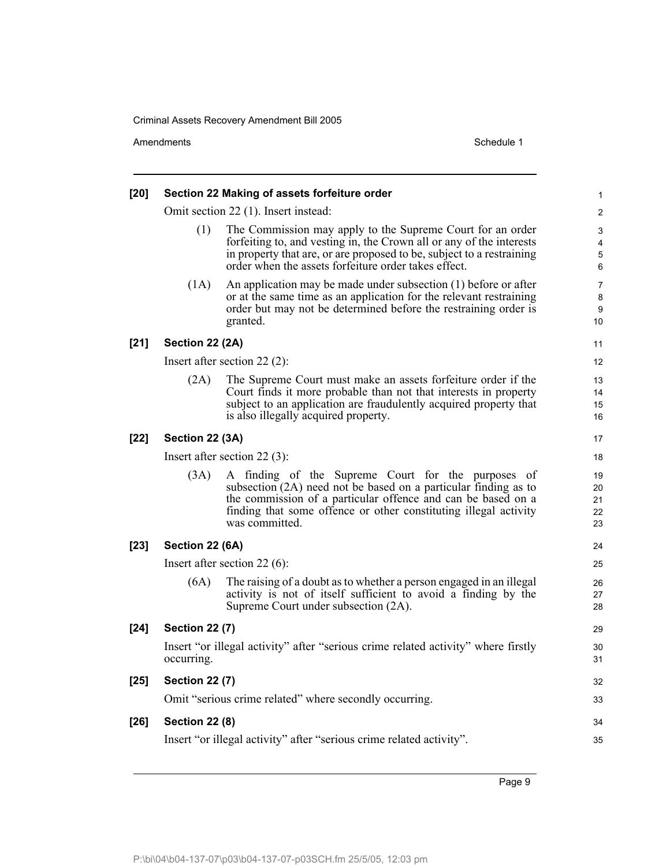Amendments Schedule 1

| [20]   |                       | Section 22 Making of assets forfeiture order                                                                                                                                                                                                                                | 1                              |
|--------|-----------------------|-----------------------------------------------------------------------------------------------------------------------------------------------------------------------------------------------------------------------------------------------------------------------------|--------------------------------|
|        |                       | Omit section 22 (1). Insert instead:                                                                                                                                                                                                                                        | 2                              |
|        | (1)                   | The Commission may apply to the Supreme Court for an order<br>forfeiting to, and vesting in, the Crown all or any of the interests<br>in property that are, or are proposed to be, subject to a restraining<br>order when the assets forfeiture order takes effect.         | 3<br>4<br>5<br>6               |
|        | (1A)                  | An application may be made under subsection $(1)$ before or after<br>or at the same time as an application for the relevant restraining<br>order but may not be determined before the restraining order is<br>granted.                                                      | $\overline{7}$<br>8<br>9<br>10 |
| $[21]$ | Section 22 (2A)       |                                                                                                                                                                                                                                                                             | 11                             |
|        |                       | Insert after section 22 $(2)$ :                                                                                                                                                                                                                                             | 12                             |
|        | (2A)                  | The Supreme Court must make an assets for feiture order if the<br>Court finds it more probable than not that interests in property<br>subject to an application are fraudulently acquired property that<br>is also illegally acquired property.                             | 13<br>14<br>15<br>16           |
| $[22]$ | Section 22 (3A)       |                                                                                                                                                                                                                                                                             | 17                             |
|        |                       | Insert after section 22 $(3)$ :                                                                                                                                                                                                                                             | 18                             |
|        | (3A)                  | A finding of the Supreme Court for the purposes of<br>subsection (2A) need not be based on a particular finding as to<br>the commission of a particular offence and can be based on a<br>finding that some offence or other constituting illegal activity<br>was committed. | 19<br>20<br>21<br>22<br>23     |
| $[23]$ | Section 22 (6A)       |                                                                                                                                                                                                                                                                             | 24                             |
|        |                       | Insert after section 22 $(6)$ :                                                                                                                                                                                                                                             | 25                             |
|        | (6A)                  | The raising of a doubt as to whether a person engaged in an illegal<br>activity is not of itself sufficient to avoid a finding by the<br>Supreme Court under subsection (2A).                                                                                               | 26<br>27<br>28                 |
| $[24]$ | <b>Section 22 (7)</b> |                                                                                                                                                                                                                                                                             | 29                             |
|        | occurring.            | Insert "or illegal activity" after "serious crime related activity" where firstly                                                                                                                                                                                           | 30<br>31                       |
| $[25]$ | <b>Section 22 (7)</b> |                                                                                                                                                                                                                                                                             | 32                             |
|        |                       | Omit "serious crime related" where secondly occurring.                                                                                                                                                                                                                      | 33                             |
| $[26]$ | <b>Section 22 (8)</b> |                                                                                                                                                                                                                                                                             | 34                             |
|        |                       | Insert "or illegal activity" after "serious crime related activity".                                                                                                                                                                                                        | 35                             |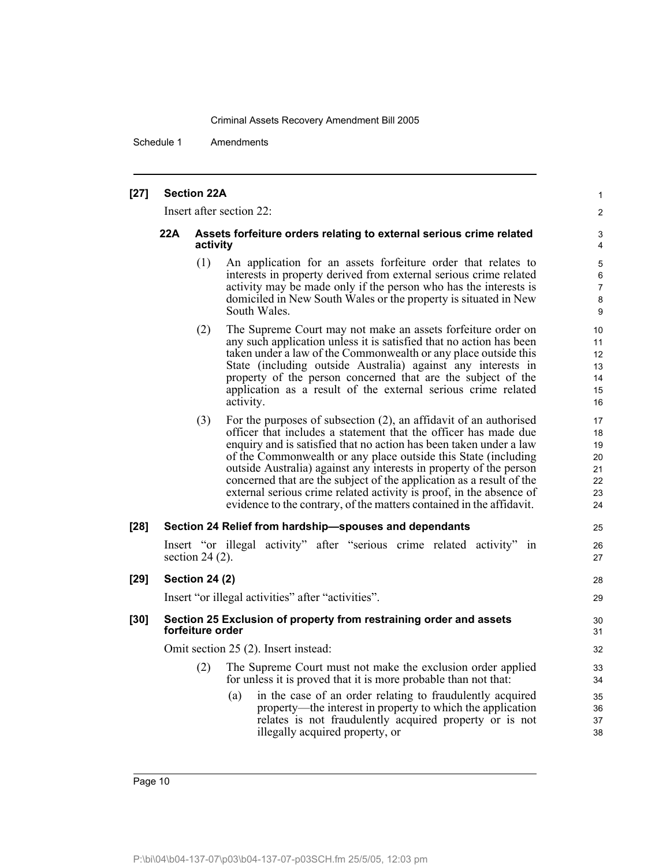Schedule 1 Amendments

#### **[27] Section 22A**

Insert after section 22:

#### **22A Assets forfeiture orders relating to external serious crime related activity**

- (1) An application for an assets forfeiture order that relates to interests in property derived from external serious crime related activity may be made only if the person who has the interests is domiciled in New South Wales or the property is situated in New South Wales.
- (2) The Supreme Court may not make an assets forfeiture order on any such application unless it is satisfied that no action has been taken under a law of the Commonwealth or any place outside this State (including outside Australia) against any interests in property of the person concerned that are the subject of the application as a result of the external serious crime related activity.
- (3) For the purposes of subsection (2), an affidavit of an authorised officer that includes a statement that the officer has made due enquiry and is satisfied that no action has been taken under a law of the Commonwealth or any place outside this State (including outside Australia) against any interests in property of the person concerned that are the subject of the application as a result of the external serious crime related activity is proof, in the absence of evidence to the contrary, of the matters contained in the affidavit.

# **[28] Section 24 Relief from hardship—spouses and dependants**

Insert "or illegal activity" after "serious crime related activity" in section 24 (2).

27 28

29

25 26

1  $\mathfrak{p}$ 

# Insert "or illegal activities" after "activities".

**[29] Section 24 (2)**

#### **[30] Section 25 Exclusion of property from restraining order and assets forfeiture order**

Omit section 25 (2). Insert instead:

- (2) The Supreme Court must not make the exclusion order applied for unless it is proved that it is more probable than not that:
	- (a) in the case of an order relating to fraudulently acquired property—the interest in property to which the application relates is not fraudulently acquired property or is not illegally acquired property, or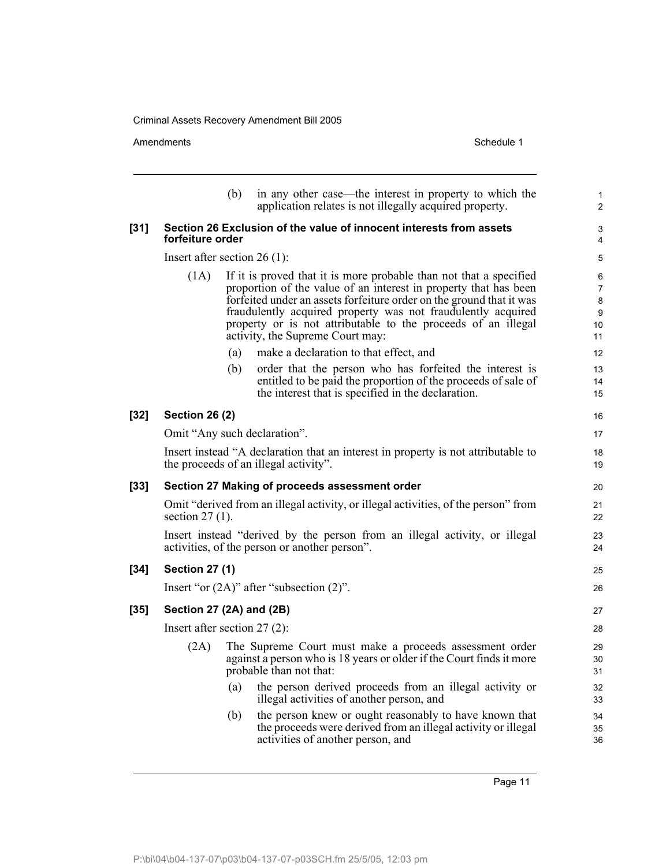|        | Amendments                                                                                                                  |     | Schedule 1                                                                                                                                                                                                                                                                                                                                                                          |  |  |  |
|--------|-----------------------------------------------------------------------------------------------------------------------------|-----|-------------------------------------------------------------------------------------------------------------------------------------------------------------------------------------------------------------------------------------------------------------------------------------------------------------------------------------------------------------------------------------|--|--|--|
|        |                                                                                                                             | (b) | in any other case—the interest in property to which the<br>application relates is not illegally acquired property.                                                                                                                                                                                                                                                                  |  |  |  |
| $[31]$ | forfeiture order                                                                                                            |     | Section 26 Exclusion of the value of innocent interests from assets                                                                                                                                                                                                                                                                                                                 |  |  |  |
|        | Insert after section 26 $(1)$ :                                                                                             |     |                                                                                                                                                                                                                                                                                                                                                                                     |  |  |  |
|        | (1A)                                                                                                                        |     | If it is proved that it is more probable than not that a specified<br>proportion of the value of an interest in property that has been<br>forfeited under an assets forfeiture order on the ground that it was<br>fraudulently acquired property was not fraudulently acquired<br>property or is not attributable to the proceeds of an illegal<br>activity, the Supreme Court may: |  |  |  |
|        |                                                                                                                             | (a) | make a declaration to that effect, and                                                                                                                                                                                                                                                                                                                                              |  |  |  |
|        |                                                                                                                             | (b) | order that the person who has forfeited the interest is<br>entitled to be paid the proportion of the proceeds of sale of<br>the interest that is specified in the declaration.                                                                                                                                                                                                      |  |  |  |
| $[32]$ | <b>Section 26 (2)</b>                                                                                                       |     |                                                                                                                                                                                                                                                                                                                                                                                     |  |  |  |
|        | Omit "Any such declaration".                                                                                                |     |                                                                                                                                                                                                                                                                                                                                                                                     |  |  |  |
|        |                                                                                                                             |     | Insert instead "A declaration that an interest in property is not attributable to<br>the proceeds of an illegal activity".                                                                                                                                                                                                                                                          |  |  |  |
| $[33]$ |                                                                                                                             |     | Section 27 Making of proceeds assessment order                                                                                                                                                                                                                                                                                                                                      |  |  |  |
|        | section $27(1)$ .                                                                                                           |     | Omit "derived from an illegal activity, or illegal activities, of the person" from                                                                                                                                                                                                                                                                                                  |  |  |  |
|        | Insert instead "derived by the person from an illegal activity, or illegal<br>activities, of the person or another person". |     |                                                                                                                                                                                                                                                                                                                                                                                     |  |  |  |
| $[34]$ | <b>Section 27 (1)</b>                                                                                                       |     |                                                                                                                                                                                                                                                                                                                                                                                     |  |  |  |
|        |                                                                                                                             |     | Insert "or $(2A)$ " after "subsection $(2)$ ".                                                                                                                                                                                                                                                                                                                                      |  |  |  |
| $[35]$ | Section 27 (2A) and (2B)                                                                                                    |     |                                                                                                                                                                                                                                                                                                                                                                                     |  |  |  |
|        | Insert after section $27(2)$ :                                                                                              |     |                                                                                                                                                                                                                                                                                                                                                                                     |  |  |  |
|        | (2A)                                                                                                                        |     | The Supreme Court must make a proceeds assessment order<br>against a person who is 18 years or older if the Court finds it more<br>probable than not that:                                                                                                                                                                                                                          |  |  |  |
|        |                                                                                                                             | (a) | the person derived proceeds from an illegal activity or<br>illegal activities of another person, and                                                                                                                                                                                                                                                                                |  |  |  |
|        |                                                                                                                             | (b) | the person knew or ought reasonably to have known that<br>the proceeds were derived from an illegal activity or illegal<br>activities of another person, and                                                                                                                                                                                                                        |  |  |  |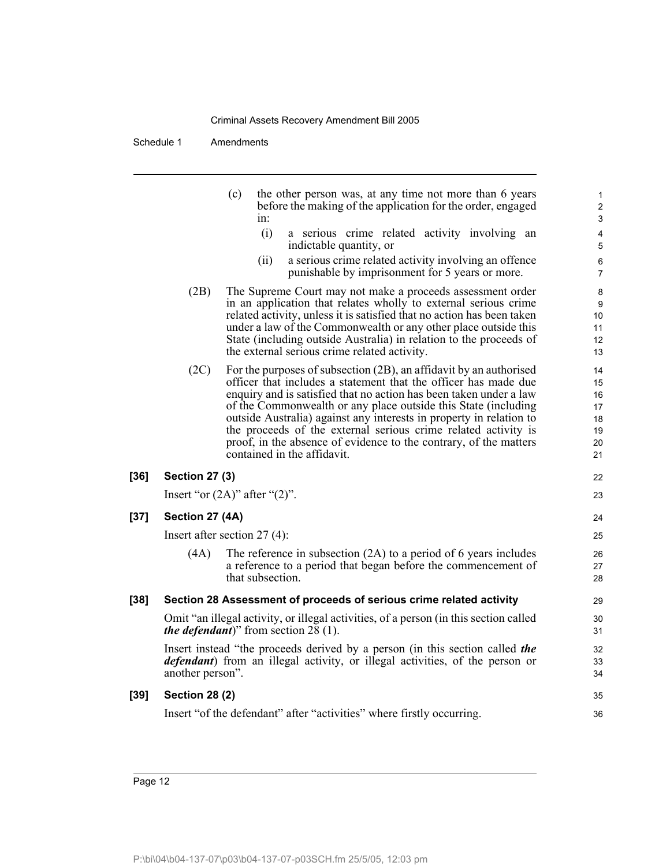|        |                                                 | (c)              | in:  | the other person was, at any time not more than 6 years<br>before the making of the application for the order, engaged                                                                                                                                                                                                                                                                                                                                                                                                     | 1<br>$\overline{\mathbf{c}}$<br>3            |
|--------|-------------------------------------------------|------------------|------|----------------------------------------------------------------------------------------------------------------------------------------------------------------------------------------------------------------------------------------------------------------------------------------------------------------------------------------------------------------------------------------------------------------------------------------------------------------------------------------------------------------------------|----------------------------------------------|
|        |                                                 |                  | (i)  | a serious crime related activity involving an<br>indictable quantity, or                                                                                                                                                                                                                                                                                                                                                                                                                                                   | 4<br>5                                       |
|        |                                                 |                  | (ii) | a serious crime related activity involving an offence<br>punishable by imprisonment for 5 years or more.                                                                                                                                                                                                                                                                                                                                                                                                                   | 6<br>7                                       |
|        | (2B)                                            |                  |      | The Supreme Court may not make a proceeds assessment order<br>in an application that relates wholly to external serious crime<br>related activity, unless it is satisfied that no action has been taken<br>under a law of the Commonwealth or any other place outside this<br>State (including outside Australia) in relation to the proceeds of<br>the external serious crime related activity.                                                                                                                           | 8<br>9<br>10<br>11<br>12<br>13               |
|        | (2C)                                            |                  |      | For the purposes of subsection (2B), an affidavit by an authorised<br>officer that includes a statement that the officer has made due<br>enquiry and is satisfied that no action has been taken under a law<br>of the Commonwealth or any place outside this State (including<br>outside Australia) against any interests in property in relation to<br>the proceeds of the external serious crime related activity is<br>proof, in the absence of evidence to the contrary, of the matters<br>contained in the affidavit. | 14<br>15<br>16<br>17<br>18<br>19<br>20<br>21 |
| $[36]$ | <b>Section 27 (3)</b>                           |                  |      |                                                                                                                                                                                                                                                                                                                                                                                                                                                                                                                            | 22                                           |
|        | Insert "or $(2A)$ " after " $(2)$ ".            |                  |      |                                                                                                                                                                                                                                                                                                                                                                                                                                                                                                                            | 23                                           |
| $[37]$ | Section 27 (4A)                                 |                  |      |                                                                                                                                                                                                                                                                                                                                                                                                                                                                                                                            | 24                                           |
|        | Insert after section $27(4)$ :                  |                  |      |                                                                                                                                                                                                                                                                                                                                                                                                                                                                                                                            | 25                                           |
|        | (4A)                                            | that subsection. |      | The reference in subsection $(2A)$ to a period of 6 years includes<br>a reference to a period that began before the commencement of                                                                                                                                                                                                                                                                                                                                                                                        | 26<br>27<br>28                               |
| $[38]$ |                                                 |                  |      | Section 28 Assessment of proceeds of serious crime related activity                                                                                                                                                                                                                                                                                                                                                                                                                                                        | 29                                           |
|        | <i>the defendant</i> )" from section 28 $(1)$ . |                  |      | Omit "an illegal activity, or illegal activities, of a person (in this section called                                                                                                                                                                                                                                                                                                                                                                                                                                      | 30<br>31                                     |
|        | another person".                                |                  |      | Insert instead "the proceeds derived by a person (in this section called the<br><i>defendant</i> ) from an illegal activity, or illegal activities, of the person or                                                                                                                                                                                                                                                                                                                                                       | 32<br>33<br>34                               |
| $[39]$ | <b>Section 28 (2)</b>                           |                  |      |                                                                                                                                                                                                                                                                                                                                                                                                                                                                                                                            | 35                                           |
|        |                                                 |                  |      | Insert "of the defendant" after "activities" where firstly occurring.                                                                                                                                                                                                                                                                                                                                                                                                                                                      | 36                                           |
|        |                                                 |                  |      |                                                                                                                                                                                                                                                                                                                                                                                                                                                                                                                            |                                              |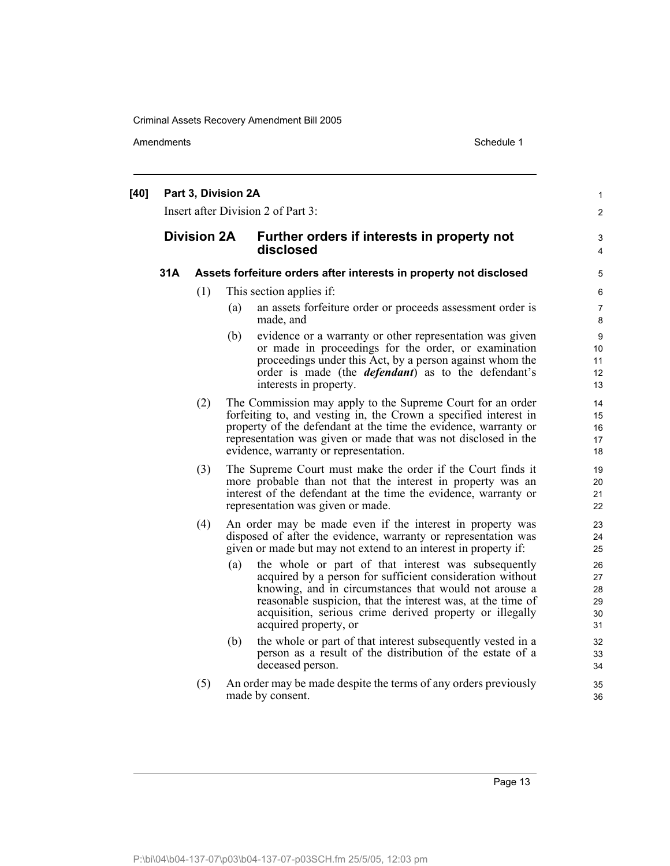Amendments Schedule 1

| [40] | Part 3, Division 2A<br>Insert after Division 2 of Part 3: |     |     |                                                                                                                                                                                                                                                                                                                               |                                  |  |
|------|-----------------------------------------------------------|-----|-----|-------------------------------------------------------------------------------------------------------------------------------------------------------------------------------------------------------------------------------------------------------------------------------------------------------------------------------|----------------------------------|--|
|      | <b>Division 2A</b>                                        |     |     | Further orders if interests in property not<br>disclosed                                                                                                                                                                                                                                                                      | 3<br>4                           |  |
|      | 31A                                                       |     |     | Assets forfeiture orders after interests in property not disclosed                                                                                                                                                                                                                                                            | 5                                |  |
|      |                                                           | (1) |     | This section applies if:                                                                                                                                                                                                                                                                                                      | 6                                |  |
|      |                                                           |     | (a) | an assets forfeiture order or proceeds assessment order is<br>made, and                                                                                                                                                                                                                                                       | 7<br>8                           |  |
|      |                                                           |     | (b) | evidence or a warranty or other representation was given<br>or made in proceedings for the order, or examination<br>proceedings under this Act, by a person against whom the<br>order is made (the <i>defendant</i> ) as to the defendant's<br>interests in property.                                                         | 9<br>10<br>11<br>12<br>13        |  |
|      |                                                           | (2) |     | The Commission may apply to the Supreme Court for an order<br>forfeiting to, and vesting in, the Crown a specified interest in<br>property of the defendant at the time the evidence, warranty or<br>representation was given or made that was not disclosed in the<br>evidence, warranty or representation.                  | 14<br>15<br>16<br>17<br>18       |  |
|      |                                                           | (3) |     | The Supreme Court must make the order if the Court finds it<br>more probable than not that the interest in property was an<br>interest of the defendant at the time the evidence, warranty or<br>representation was given or made.                                                                                            | 19<br>20<br>21<br>22             |  |
|      |                                                           | (4) |     | An order may be made even if the interest in property was<br>disposed of after the evidence, warranty or representation was<br>given or made but may not extend to an interest in property if:                                                                                                                                | 23<br>24<br>25                   |  |
|      |                                                           |     | (a) | the whole or part of that interest was subsequently<br>acquired by a person for sufficient consideration without<br>knowing, and in circumstances that would not arouse a<br>reasonable suspicion, that the interest was, at the time of<br>acquisition, serious crime derived property or illegally<br>acquired property, or | 26<br>27<br>28<br>29<br>30<br>31 |  |
|      |                                                           |     | (b) | the whole or part of that interest subsequently vested in a<br>person as a result of the distribution of the estate of a<br>deceased person.                                                                                                                                                                                  | 32<br>33<br>34                   |  |
|      |                                                           | (5) |     | An order may be made despite the terms of any orders previously<br>made by consent.                                                                                                                                                                                                                                           | 35<br>36                         |  |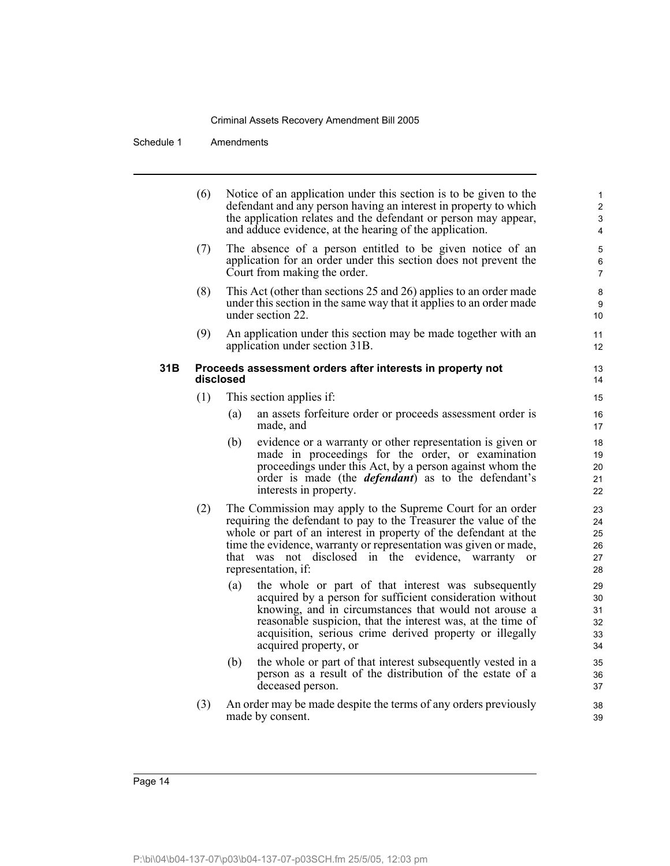|      | (6) | Notice of an application under this section is to be given to the<br>defendant and any person having an interest in property to which<br>the application relates and the defendant or person may appear,<br>and adduce evidence, at the hearing of the application.                                                                                                | $\mathbf{1}$<br>$\overline{2}$<br>3<br>$\overline{\mathbf{4}}$ |
|------|-----|--------------------------------------------------------------------------------------------------------------------------------------------------------------------------------------------------------------------------------------------------------------------------------------------------------------------------------------------------------------------|----------------------------------------------------------------|
|      | (7) | The absence of a person entitled to be given notice of an<br>application for an order under this section does not prevent the<br>Court from making the order.                                                                                                                                                                                                      | 5<br>6<br>$\overline{7}$                                       |
|      | (8) | This Act (other than sections 25 and 26) applies to an order made<br>under this section in the same way that it applies to an order made<br>under section 22.                                                                                                                                                                                                      | 8<br>9<br>10                                                   |
|      | (9) | An application under this section may be made together with an<br>application under section 31B.                                                                                                                                                                                                                                                                   | 11<br>12                                                       |
| 31 B |     | Proceeds assessment orders after interests in property not<br>disclosed                                                                                                                                                                                                                                                                                            | 13<br>14                                                       |
|      | (1) | This section applies if:                                                                                                                                                                                                                                                                                                                                           | 15                                                             |
|      |     | an assets forfeiture order or proceeds assessment order is<br>(a)<br>made, and                                                                                                                                                                                                                                                                                     | 16<br>17                                                       |
|      |     | evidence or a warranty or other representation is given or<br>(b)<br>made in proceedings for the order, or examination<br>proceedings under this Act, by a person against whom the<br>order is made (the <i>defendant</i> ) as to the defendant's<br>interests in property.                                                                                        | 18<br>19<br>20<br>21<br>22                                     |
|      | (2) | The Commission may apply to the Supreme Court for an order<br>requiring the defendant to pay to the Treasurer the value of the<br>whole or part of an interest in property of the defendant at the<br>time the evidence, warranty or representation was given or made,<br>that was not disclosed in the evidence, warranty<br><sub>or</sub><br>representation, if: | 23<br>24<br>25<br>26<br>27<br>28                               |
|      |     | the whole or part of that interest was subsequently<br>(a)<br>acquired by a person for sufficient consideration without<br>knowing, and in circumstances that would not arouse a<br>reasonable suspicion, that the interest was, at the time of<br>acquisition, serious crime derived property or illegally<br>acquired property, or                               | 29<br>30<br>31<br>32<br>33<br>34                               |
|      |     | the whole or part of that interest subsequently vested in a<br>(b)<br>person as a result of the distribution of the estate of a<br>deceased person.                                                                                                                                                                                                                | 35<br>36<br>37                                                 |
|      | (3) | An order may be made despite the terms of any orders previously<br>made by consent.                                                                                                                                                                                                                                                                                | 38<br>39                                                       |
|      |     |                                                                                                                                                                                                                                                                                                                                                                    |                                                                |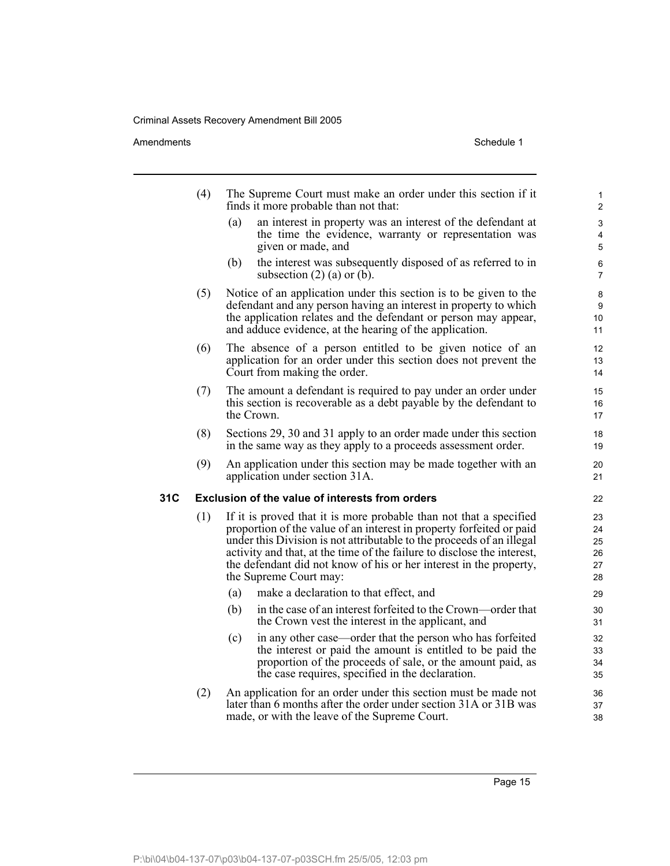#### Amendments Schedule 1

|     | (4) | The Supreme Court must make an order under this section if it<br>finds it more probable than not that:                                                                                                                                                                                                                                                                                         | 1<br>$\overline{a}$              |
|-----|-----|------------------------------------------------------------------------------------------------------------------------------------------------------------------------------------------------------------------------------------------------------------------------------------------------------------------------------------------------------------------------------------------------|----------------------------------|
|     |     | an interest in property was an interest of the defendant at<br>(a)<br>the time the evidence, warranty or representation was<br>given or made, and                                                                                                                                                                                                                                              | 3<br>4<br>5                      |
|     |     | the interest was subsequently disposed of as referred to in<br>(b)<br>subsection $(2)$ (a) or (b).                                                                                                                                                                                                                                                                                             | 6<br>$\overline{7}$              |
|     | (5) | Notice of an application under this section is to be given to the<br>defendant and any person having an interest in property to which<br>the application relates and the defendant or person may appear,<br>and adduce evidence, at the hearing of the application.                                                                                                                            | 8<br>9<br>10<br>11               |
|     | (6) | The absence of a person entitled to be given notice of an<br>application for an order under this section does not prevent the<br>Court from making the order.                                                                                                                                                                                                                                  | $12 \overline{ }$<br>13<br>14    |
|     | (7) | The amount a defendant is required to pay under an order under<br>this section is recoverable as a debt payable by the defendant to<br>the Crown.                                                                                                                                                                                                                                              | 15<br>16<br>17                   |
|     | (8) | Sections 29, 30 and 31 apply to an order made under this section<br>in the same way as they apply to a proceeds assessment order.                                                                                                                                                                                                                                                              | 18<br>19                         |
|     | (9) | An application under this section may be made together with an<br>application under section 31A.                                                                                                                                                                                                                                                                                               | 20<br>21                         |
| 31C |     | Exclusion of the value of interests from orders                                                                                                                                                                                                                                                                                                                                                | 22                               |
|     | (1) | If it is proved that it is more probable than not that a specified<br>proportion of the value of an interest in property forfeited or paid<br>under this Division is not attributable to the proceeds of an illegal<br>activity and that, at the time of the failure to disclose the interest,<br>the defendant did not know of his or her interest in the property,<br>the Supreme Court may: | 23<br>24<br>25<br>26<br>27<br>28 |
|     |     | make a declaration to that effect, and<br>(a)                                                                                                                                                                                                                                                                                                                                                  | 29                               |
|     |     | in the case of an interest forfeited to the Crown—order that<br>(b)<br>the Crown vest the interest in the applicant, and                                                                                                                                                                                                                                                                       | 30<br>31                         |
|     |     | in any other case—order that the person who has forfeited<br>(c)<br>the interest or paid the amount is entitled to be paid the<br>proportion of the proceeds of sale, or the amount paid, as<br>the case requires, specified in the declaration.                                                                                                                                               | 32<br>33<br>34<br>35             |
|     | (2) | An application for an order under this section must be made not<br>later than 6 months after the order under section 31A or 31B was<br>made, or with the leave of the Supreme Court.                                                                                                                                                                                                           | 36<br>37<br>38                   |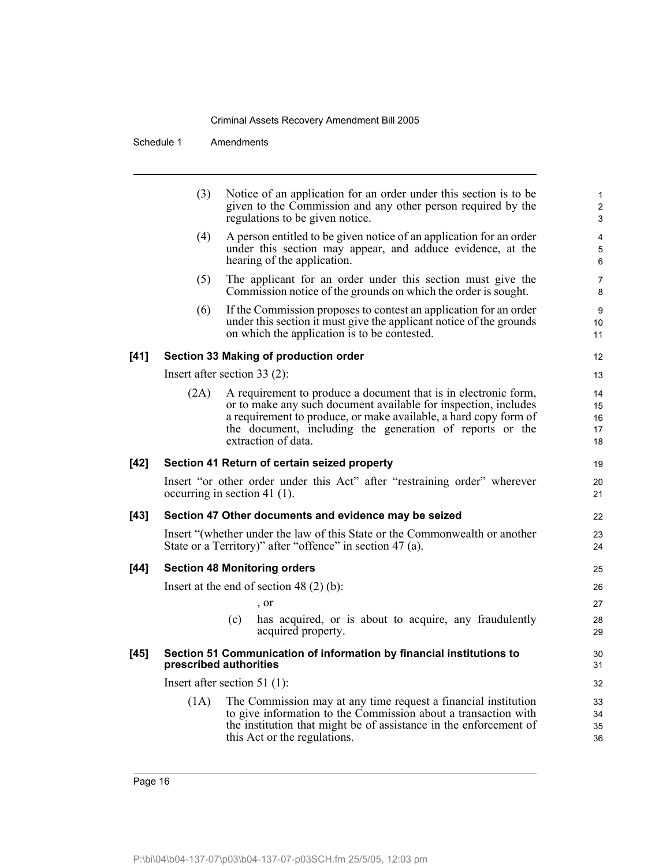|      | (3)  | Notice of an application for an order under this section is to be<br>given to the Commission and any other person required by the<br>regulations to be given notice.                                                                                                                      | 1<br>$\overline{\mathbf{c}}$<br>3 |
|------|------|-------------------------------------------------------------------------------------------------------------------------------------------------------------------------------------------------------------------------------------------------------------------------------------------|-----------------------------------|
|      | (4)  | A person entitled to be given notice of an application for an order<br>under this section may appear, and adduce evidence, at the<br>hearing of the application.                                                                                                                          | 4<br>$\overline{5}$<br>6          |
|      | (5)  | The applicant for an order under this section must give the<br>Commission notice of the grounds on which the order is sought.                                                                                                                                                             | $\overline{7}$<br>8               |
|      | (6)  | If the Commission proposes to contest an application for an order<br>under this section it must give the applicant notice of the grounds<br>on which the application is to be contested.                                                                                                  | $9\,$<br>10<br>11                 |
| [41] |      | Section 33 Making of production order                                                                                                                                                                                                                                                     | 12                                |
|      |      | Insert after section 33 (2):                                                                                                                                                                                                                                                              | 13                                |
|      | (2A) | A requirement to produce a document that is in electronic form,<br>or to make any such document available for inspection, includes<br>a requirement to produce, or make available, a hard copy form of<br>the document, including the generation of reports or the<br>extraction of data. | 14<br>15<br>16<br>17<br>18        |
| [42] |      | Section 41 Return of certain seized property                                                                                                                                                                                                                                              | 19                                |
|      |      | Insert "or other order under this Act" after "restraining order" wherever<br>occurring in section 41 $(1)$ .                                                                                                                                                                              | 20<br>21                          |
| [43] |      | Section 47 Other documents and evidence may be seized                                                                                                                                                                                                                                     | 22                                |
|      |      | Insert "(whether under the law of this State or the Commonwealth or another<br>State or a Territory)" after "offence" in section 47 (a).                                                                                                                                                  | 23<br>24                          |
| [44] |      | <b>Section 48 Monitoring orders</b>                                                                                                                                                                                                                                                       | 25                                |
|      |      | Insert at the end of section 48 $(2)$ $(b)$ :                                                                                                                                                                                                                                             | 26                                |
|      |      | , or                                                                                                                                                                                                                                                                                      | 27                                |
|      |      | (c)<br>has acquired, or is about to acquire, any fraudulently<br>acquired property.                                                                                                                                                                                                       | 28<br>29                          |
| [45] |      | Section 51 Communication of information by financial institutions to<br>prescribed authorities                                                                                                                                                                                            | 30<br>31                          |
|      |      | Insert after section 51 $(1)$ :                                                                                                                                                                                                                                                           | 32                                |
|      | (1A) | The Commission may at any time request a financial institution<br>to give information to the Commission about a transaction with<br>the institution that might be of assistance in the enforcement of<br>this Act or the regulations.                                                     | 33<br>34<br>35<br>36              |
|      |      |                                                                                                                                                                                                                                                                                           |                                   |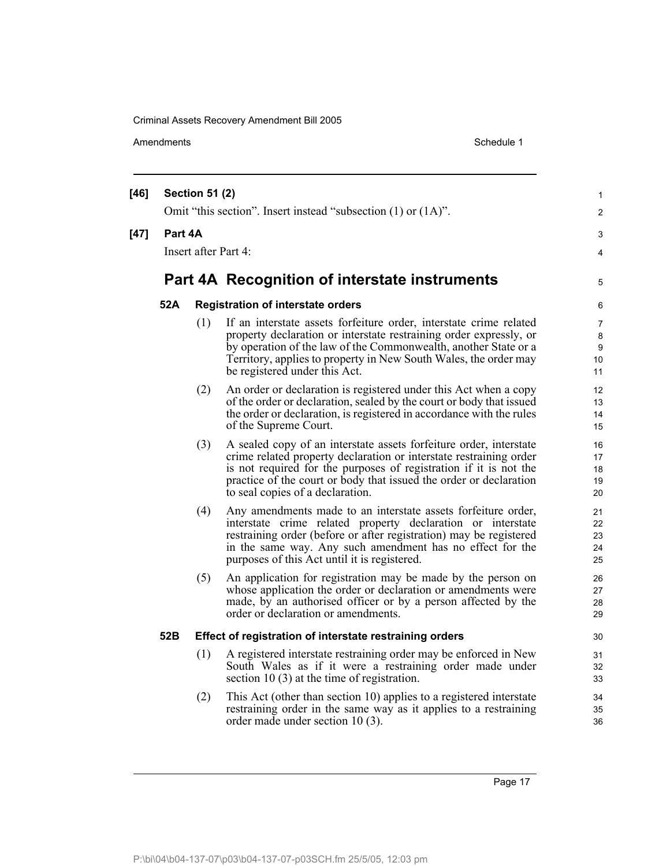Amendments Schedule 1

| $[46]$ |         | <b>Section 51 (2)</b> |                                                                                                                                                                                                                                                                                                                         | 1                          |  |
|--------|---------|-----------------------|-------------------------------------------------------------------------------------------------------------------------------------------------------------------------------------------------------------------------------------------------------------------------------------------------------------------------|----------------------------|--|
|        |         |                       | Omit "this section". Insert instead "subsection (1) or (1A)".                                                                                                                                                                                                                                                           | $\overline{c}$             |  |
| $[47]$ | Part 4A |                       |                                                                                                                                                                                                                                                                                                                         | 3                          |  |
|        |         | Insert after Part 4:  |                                                                                                                                                                                                                                                                                                                         | $\overline{4}$             |  |
|        |         |                       |                                                                                                                                                                                                                                                                                                                         |                            |  |
|        |         |                       | Part 4A Recognition of interstate instruments                                                                                                                                                                                                                                                                           | 5                          |  |
|        | 52A     |                       | <b>Registration of interstate orders</b>                                                                                                                                                                                                                                                                                | 6                          |  |
|        |         | (1)                   | If an interstate assets forfeiture order, interstate crime related<br>property declaration or interstate restraining order expressly, or<br>by operation of the law of the Commonwealth, another State or a<br>Territory, applies to property in New South Wales, the order may<br>be registered under this Act.        | 7<br>8<br>9<br>10<br>11    |  |
|        |         | (2)                   | An order or declaration is registered under this Act when a copy<br>of the order or declaration, sealed by the court or body that issued<br>the order or declaration, is registered in accordance with the rules<br>of the Supreme Court.                                                                               | 12<br>13<br>14<br>15       |  |
|        |         | (3)                   | A sealed copy of an interstate assets forfeiture order, interstate<br>crime related property declaration or interstate restraining order<br>is not required for the purposes of registration if it is not the<br>practice of the court or body that issued the order or declaration<br>to seal copies of a declaration. | 16<br>17<br>18<br>19<br>20 |  |
|        |         | (4)                   | Any amendments made to an interstate assets forfeiture order,<br>interstate crime related property declaration or interstate<br>restraining order (before or after registration) may be registered<br>in the same way. Any such amendment has no effect for the<br>purposes of this Act until it is registered.         | 21<br>22<br>23<br>24<br>25 |  |
|        |         | (5)                   | An application for registration may be made by the person on<br>whose application the order or declaration or amendments were<br>made, by an authorised officer or by a person affected by the<br>order or declaration or amendments.                                                                                   | 26<br>27<br>28<br>29       |  |
|        | 52B     |                       | Effect of registration of interstate restraining orders                                                                                                                                                                                                                                                                 | 30                         |  |
|        |         | (1)                   | A registered interstate restraining order may be enforced in New<br>South Wales as if it were a restraining order made under<br>section 10 $(3)$ at the time of registration.                                                                                                                                           | 31<br>32<br>33             |  |
|        |         | (2)                   | This Act (other than section 10) applies to a registered interstate<br>restraining order in the same way as it applies to a restraining<br>order made under section 10 (3).                                                                                                                                             | 34<br>35<br>36             |  |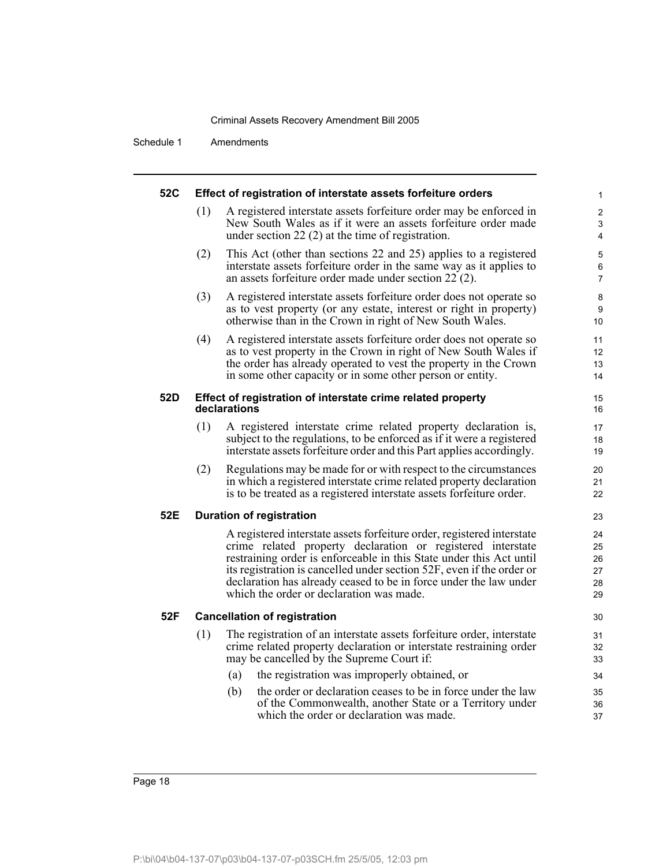| 52C | Effect of registration of interstate assets forfeiture orders |                                                                                                                                                                                                                                                                                                                                                                                                        |                                  |  |  |
|-----|---------------------------------------------------------------|--------------------------------------------------------------------------------------------------------------------------------------------------------------------------------------------------------------------------------------------------------------------------------------------------------------------------------------------------------------------------------------------------------|----------------------------------|--|--|
|     | (1)                                                           | A registered interstate assets forfeiture order may be enforced in<br>New South Wales as if it were an assets forfeiture order made<br>under section $22(2)$ at the time of registration.                                                                                                                                                                                                              | $\overline{c}$<br>3<br>4         |  |  |
|     | (2)                                                           | This Act (other than sections 22 and 25) applies to a registered<br>interstate assets forfeiture order in the same way as it applies to<br>an assets forfeiture order made under section 22 (2).                                                                                                                                                                                                       | 5<br>6<br>7                      |  |  |
|     | (3)                                                           | A registered interstate assets forfeiture order does not operate so<br>as to vest property (or any estate, interest or right in property)<br>otherwise than in the Crown in right of New South Wales.                                                                                                                                                                                                  | 8<br>9<br>10                     |  |  |
|     | (4)                                                           | A registered interstate assets forfeiture order does not operate so<br>as to vest property in the Crown in right of New South Wales if<br>the order has already operated to vest the property in the Crown<br>in some other capacity or in some other person or entity.                                                                                                                                | 11<br>12<br>13<br>14             |  |  |
| 52D |                                                               | Effect of registration of interstate crime related property<br>declarations                                                                                                                                                                                                                                                                                                                            | 15<br>16                         |  |  |
|     | (1)                                                           | A registered interstate crime related property declaration is,<br>subject to the regulations, to be enforced as if it were a registered<br>interstate assets forfeiture order and this Part applies accordingly.                                                                                                                                                                                       | 17<br>18<br>19                   |  |  |
|     | (2)                                                           | Regulations may be made for or with respect to the circumstances<br>in which a registered interstate crime related property declaration<br>is to be treated as a registered interstate assets forfeiture order.                                                                                                                                                                                        | 20<br>21<br>22                   |  |  |
| 52E |                                                               | <b>Duration of registration</b>                                                                                                                                                                                                                                                                                                                                                                        | 23                               |  |  |
|     |                                                               | A registered interstate assets forfeiture order, registered interstate<br>crime related property declaration or registered interstate<br>restraining order is enforceable in this State under this Act until<br>its registration is cancelled under section 52F, even if the order or<br>declaration has already ceased to be in force under the law under<br>which the order or declaration was made. | 24<br>25<br>26<br>27<br>28<br>29 |  |  |
| 52F |                                                               | <b>Cancellation of registration</b>                                                                                                                                                                                                                                                                                                                                                                    | 30                               |  |  |
|     | (1)                                                           | The registration of an interstate assets forfeiture order, interstate<br>crime related property declaration or interstate restraining order<br>may be cancelled by the Supreme Court if:<br>the registration was improperly obtained, or<br>(a)                                                                                                                                                        | 31<br>32<br>33<br>34             |  |  |
|     |                                                               | the order or declaration ceases to be in force under the law<br>(b)<br>of the Commonwealth, another State or a Territory under<br>which the order or declaration was made.                                                                                                                                                                                                                             | 35<br>36<br>37                   |  |  |
|     |                                                               |                                                                                                                                                                                                                                                                                                                                                                                                        |                                  |  |  |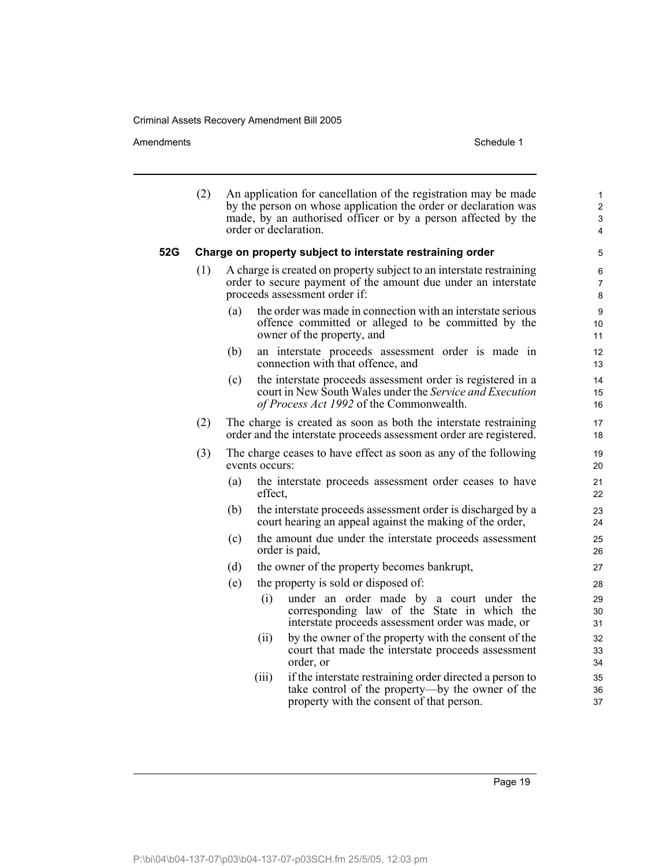Amendments Schedule 1

|     | (2) |                | An application for cancellation of the registration may be made<br>by the person on whose application the order or declaration was<br>made, by an authorised officer or by a person affected by the<br>order or declaration. | 1<br>2<br>3<br>4         |
|-----|-----|----------------|------------------------------------------------------------------------------------------------------------------------------------------------------------------------------------------------------------------------------|--------------------------|
| 52G |     |                | Charge on property subject to interstate restraining order                                                                                                                                                                   | 5                        |
|     | (1) |                | A charge is created on property subject to an interstate restraining<br>order to secure payment of the amount due under an interstate<br>proceeds assessment order if:                                                       | 6<br>$\overline{7}$<br>8 |
|     |     | (a)            | the order was made in connection with an interstate serious<br>offence committed or alleged to be committed by the<br>owner of the property, and                                                                             | 9<br>10<br>11            |
|     |     | (b)            | an interstate proceeds assessment order is made in<br>connection with that offence, and                                                                                                                                      | 12<br>13                 |
|     |     | (c)            | the interstate proceeds assessment order is registered in a<br>court in New South Wales under the Service and Execution<br>of Process Act 1992 of the Commonwealth.                                                          | 14<br>15<br>16           |
|     | (2) |                | The charge is created as soon as both the interstate restraining<br>order and the interstate proceeds assessment order are registered.                                                                                       | 17<br>18                 |
|     | (3) | events occurs: | The charge ceases to have effect as soon as any of the following                                                                                                                                                             | 19<br>20                 |
|     |     | (a)<br>effect. | the interstate proceeds assessment order ceases to have                                                                                                                                                                      | 21<br>22                 |
|     |     | (b)            | the interstate proceeds assessment order is discharged by a<br>court hearing an appeal against the making of the order,                                                                                                      | 23<br>24                 |
|     |     | (c)            | the amount due under the interstate proceeds assessment<br>order is paid,                                                                                                                                                    | 25<br>26                 |
|     |     | (d)            | the owner of the property becomes bankrupt,                                                                                                                                                                                  | 27                       |
|     |     | (e)            | the property is sold or disposed of:                                                                                                                                                                                         | 28                       |
|     |     | (i)            | under an order made by a court under the<br>corresponding law of the State in which the<br>interstate proceeds assessment order was made, or                                                                                 | 29<br>30<br>31           |
|     |     | (ii)           | by the owner of the property with the consent of the<br>court that made the interstate proceeds assessment<br>order, or                                                                                                      | 32<br>33<br>34           |
|     |     | (iii)          | if the interstate restraining order directed a person to<br>take control of the property—by the owner of the<br>property with the consent of that person.                                                                    | 35<br>36<br>37           |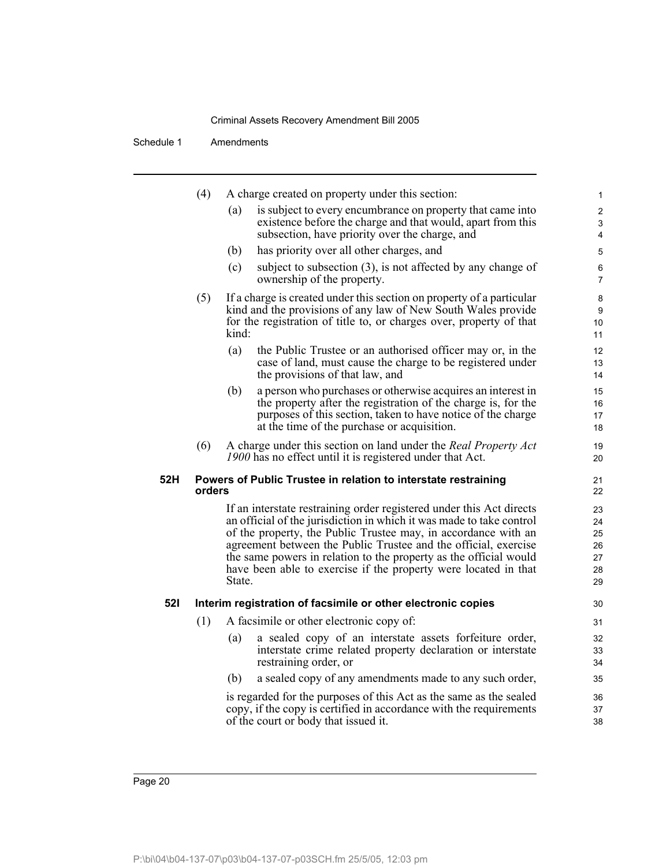|            | (4)                                                                      |        | A charge created on property under this section:                                                                                         | $\mathbf{1}$   |  |  |
|------------|--------------------------------------------------------------------------|--------|------------------------------------------------------------------------------------------------------------------------------------------|----------------|--|--|
|            |                                                                          | (a)    | is subject to every encumbrance on property that came into                                                                               | $\overline{2}$ |  |  |
|            |                                                                          |        | existence before the charge and that would, apart from this<br>subsection, have priority over the charge, and                            | 3<br>4         |  |  |
|            |                                                                          | (b)    | has priority over all other charges, and                                                                                                 | 5              |  |  |
|            |                                                                          | (c)    | subject to subsection $(3)$ , is not affected by any change of                                                                           |                |  |  |
|            |                                                                          |        | ownership of the property.                                                                                                               | 6<br>7         |  |  |
|            | (5)                                                                      |        | If a charge is created under this section on property of a particular                                                                    | 8              |  |  |
|            |                                                                          |        | kind and the provisions of any law of New South Wales provide<br>for the registration of title to, or charges over, property of that     | 9<br>10        |  |  |
|            |                                                                          | kind:  |                                                                                                                                          | 11             |  |  |
|            |                                                                          | (a)    | the Public Trustee or an authorised officer may or, in the                                                                               | 12             |  |  |
|            |                                                                          |        | case of land, must cause the charge to be registered under                                                                               | 13             |  |  |
|            |                                                                          |        | the provisions of that law, and                                                                                                          | 14             |  |  |
|            |                                                                          | (b)    | a person who purchases or otherwise acquires an interest in<br>the property after the registration of the charge is, for the             | 15<br>16       |  |  |
|            |                                                                          |        | purposes of this section, taken to have notice of the charge                                                                             | 17             |  |  |
|            |                                                                          |        | at the time of the purchase or acquisition.                                                                                              | 18             |  |  |
|            | (6)                                                                      |        | A charge under this section on land under the Real Property Act                                                                          | 19             |  |  |
|            |                                                                          |        | 1900 has no effect until it is registered under that Act.                                                                                | 20             |  |  |
| 52H        | Powers of Public Trustee in relation to interstate restraining<br>orders |        |                                                                                                                                          |                |  |  |
|            |                                                                          |        | If an interstate restraining order registered under this Act directs                                                                     | 22<br>23       |  |  |
|            |                                                                          |        | an official of the jurisdiction in which it was made to take control                                                                     | 24             |  |  |
|            |                                                                          |        | of the property, the Public Trustee may, in accordance with an                                                                           | 25             |  |  |
|            |                                                                          |        | agreement between the Public Trustee and the official, exercise                                                                          | 26             |  |  |
|            |                                                                          |        | the same powers in relation to the property as the official would<br>have been able to exercise if the property were located in that     | 27<br>28       |  |  |
|            |                                                                          | State. |                                                                                                                                          | 29             |  |  |
| <b>521</b> |                                                                          |        | Interim registration of facsimile or other electronic copies                                                                             | 30             |  |  |
|            | (1)                                                                      |        | A facsimile or other electronic copy of:                                                                                                 | 31             |  |  |
|            |                                                                          | (a)    | a sealed copy of an interstate assets forfeiture order,                                                                                  | 32             |  |  |
|            |                                                                          |        | interstate crime related property declaration or interstate<br>restraining order, or                                                     | 33             |  |  |
|            |                                                                          |        |                                                                                                                                          | 34             |  |  |
|            |                                                                          | (b)    | a sealed copy of any amendments made to any such order,                                                                                  | 35             |  |  |
|            |                                                                          |        | is regarded for the purposes of this Act as the same as the sealed<br>copy, if the copy is certified in accordance with the requirements | 36<br>37       |  |  |
|            |                                                                          |        | of the court or body that issued it.                                                                                                     | 38             |  |  |
|            |                                                                          |        |                                                                                                                                          |                |  |  |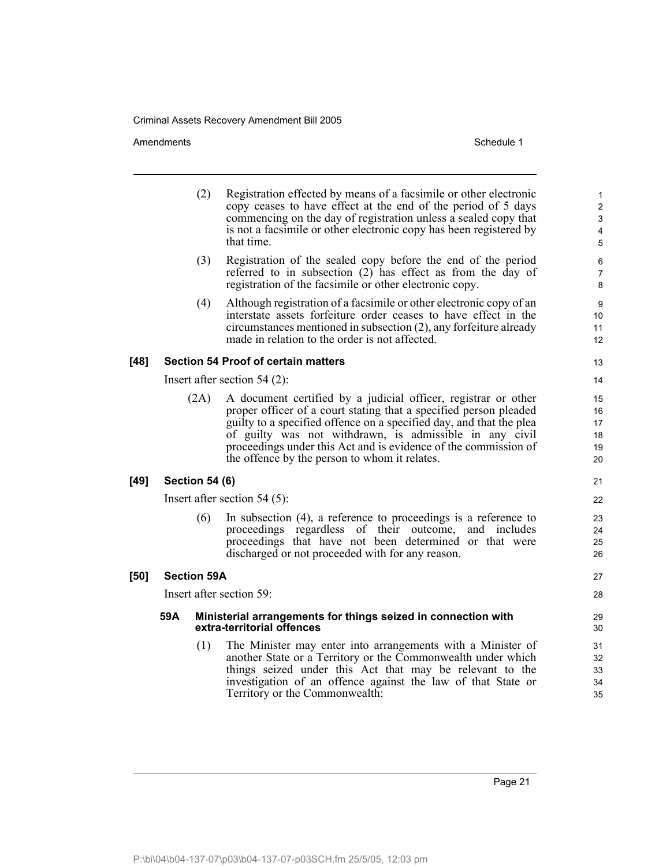Amendments Schedule 1

|        | (2)                            | Registration effected by means of a facsimile or other electronic<br>copy ceases to have effect at the end of the period of 5 days<br>commencing on the day of registration unless a sealed copy that<br>is not a facsimile or other electronic copy has been registered by<br>that time.                                                                                                 | 1<br>$\overline{c}$<br>3<br>4<br>5 |  |  |
|--------|--------------------------------|-------------------------------------------------------------------------------------------------------------------------------------------------------------------------------------------------------------------------------------------------------------------------------------------------------------------------------------------------------------------------------------------|------------------------------------|--|--|
|        | (3)                            | Registration of the sealed copy before the end of the period<br>referred to in subsection $(2)$ has effect as from the day of<br>registration of the facsimile or other electronic copy.                                                                                                                                                                                                  | 6<br>7<br>8                        |  |  |
|        | (4)                            | Although registration of a facsimile or other electronic copy of an<br>interstate assets forfeiture order ceases to have effect in the<br>$circumstances$ mentioned in subsection $(2)$ , any forfeiture already<br>made in relation to the order is not affected.                                                                                                                        | 9<br>10<br>11<br>12                |  |  |
| [48]   |                                | <b>Section 54 Proof of certain matters</b>                                                                                                                                                                                                                                                                                                                                                | 13                                 |  |  |
|        |                                | Insert after section $54$ (2):                                                                                                                                                                                                                                                                                                                                                            | 14                                 |  |  |
|        | (2A)                           | A document certified by a judicial officer, registrar or other<br>proper officer of a court stating that a specified person pleaded<br>guilty to a specified offence on a specified day, and that the plea<br>of guilty was not withdrawn, is admissible in any civil<br>proceedings under this Act and is evidence of the commission of<br>the offence by the person to whom it relates. | 15<br>16<br>17<br>18<br>19<br>20   |  |  |
| $[49]$ | <b>Section 54 (6)</b>          |                                                                                                                                                                                                                                                                                                                                                                                           | 21                                 |  |  |
|        | Insert after section $54(5)$ : |                                                                                                                                                                                                                                                                                                                                                                                           |                                    |  |  |
|        | (6)                            | In subsection $(4)$ , a reference to proceedings is a reference to<br>proceedings regardless of their outcome, and includes<br>proceedings that have not been determined or that were<br>discharged or not proceeded with for any reason.                                                                                                                                                 | 23<br>24<br>25<br>26               |  |  |
| $[50]$ | <b>Section 59A</b>             |                                                                                                                                                                                                                                                                                                                                                                                           | 27                                 |  |  |
|        |                                | Insert after section 59:                                                                                                                                                                                                                                                                                                                                                                  | 28                                 |  |  |
|        | 59A                            | Ministerial arrangements for things seized in connection with<br>extra-territorial offences                                                                                                                                                                                                                                                                                               | 29<br>30                           |  |  |
|        | (1)                            | The Minister may enter into arrangements with a Minister of<br>another State or a Territory or the Commonwealth under which<br>things seized under this Act that may be relevant to the<br>investigation of an offence against the law of that State or<br>Territory or the Commonwealth:                                                                                                 | 31<br>32<br>33<br>34<br>35         |  |  |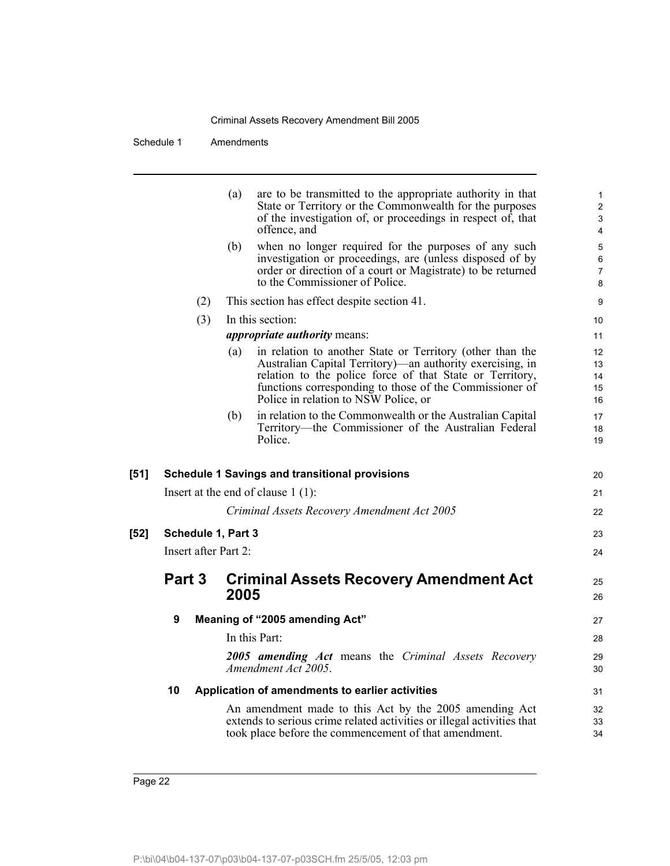|      |                      | are to be transmitted to the appropriate authority in that<br>(a)<br>State or Territory or the Commonwealth for the purposes<br>of the investigation of, or proceedings in respect of, that<br>offence, and                                                                                  | $\mathbf 1$<br>$\overline{c}$<br>3<br>$\overline{\mathbf{4}}$ |
|------|----------------------|----------------------------------------------------------------------------------------------------------------------------------------------------------------------------------------------------------------------------------------------------------------------------------------------|---------------------------------------------------------------|
|      |                      | when no longer required for the purposes of any such<br>(b)<br>investigation or proceedings, are (unless disposed of by<br>order or direction of a court or Magistrate) to be returned<br>to the Commissioner of Police.                                                                     | 5<br>$\,6$<br>$\overline{7}$<br>8                             |
|      | (2)                  | This section has effect despite section 41.                                                                                                                                                                                                                                                  | 9                                                             |
|      | (3)                  | In this section:                                                                                                                                                                                                                                                                             | 10                                                            |
|      |                      | <i>appropriate authority means:</i>                                                                                                                                                                                                                                                          | 11                                                            |
|      |                      | (a)<br>in relation to another State or Territory (other than the<br>Australian Capital Territory)—an authority exercising, in<br>relation to the police force of that State or Territory,<br>functions corresponding to those of the Commissioner of<br>Police in relation to NSW Police, or | 12<br>13<br>14<br>15<br>16                                    |
|      |                      | in relation to the Commonwealth or the Australian Capital<br>(b)<br>Territory—the Commissioner of the Australian Federal<br>Police.                                                                                                                                                          | 17<br>18<br>19                                                |
| [51] |                      | <b>Schedule 1 Savings and transitional provisions</b>                                                                                                                                                                                                                                        | 20                                                            |
|      |                      | Insert at the end of clause $1(1)$ :                                                                                                                                                                                                                                                         | 21                                                            |
|      |                      | Criminal Assets Recovery Amendment Act 2005                                                                                                                                                                                                                                                  | 22                                                            |
| [52] | Schedule 1, Part 3   |                                                                                                                                                                                                                                                                                              | 23                                                            |
|      | Insert after Part 2: |                                                                                                                                                                                                                                                                                              | 24                                                            |
|      | Part 3               | <b>Criminal Assets Recovery Amendment Act</b><br>2005                                                                                                                                                                                                                                        | 25<br>26                                                      |
|      | 9                    | Meaning of "2005 amending Act"                                                                                                                                                                                                                                                               | 27                                                            |
|      |                      | In this Part:                                                                                                                                                                                                                                                                                | 28                                                            |
|      |                      | 2005 amending Act means the Criminal Assets Recovery<br>Amendment Act 2005.                                                                                                                                                                                                                  | 29<br>30                                                      |
|      | 10                   | Application of amendments to earlier activities                                                                                                                                                                                                                                              | 31                                                            |
|      |                      | An amendment made to this Act by the 2005 amending Act<br>extends to serious crime related activities or illegal activities that<br>took place before the commencement of that amendment.                                                                                                    | 32<br>33<br>34                                                |
|      |                      |                                                                                                                                                                                                                                                                                              |                                                               |